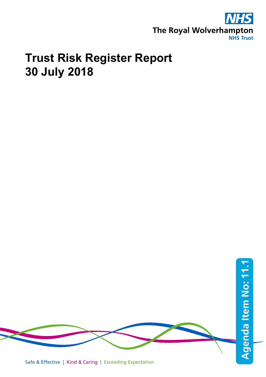

# **Trust Risk Register Report 30 July 2018**



Safe & Effective | Kind & Caring | Exceeding Expectation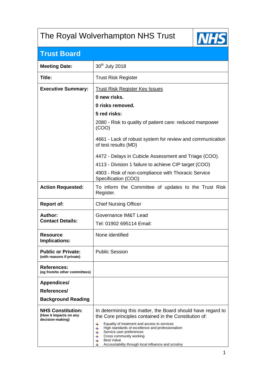## The Royal Wolverhampton NHS Trust



## **Trust Board**

| <b>Meeting Date:</b>                                                   | 30 <sup>th</sup> July 2018                                                                                                                                                                                                                                                                                                                                                      |
|------------------------------------------------------------------------|---------------------------------------------------------------------------------------------------------------------------------------------------------------------------------------------------------------------------------------------------------------------------------------------------------------------------------------------------------------------------------|
| Title:                                                                 | <b>Trust Risk Register</b>                                                                                                                                                                                                                                                                                                                                                      |
| <b>Executive Summary:</b>                                              | <b>Trust Risk Register Key Issues</b>                                                                                                                                                                                                                                                                                                                                           |
|                                                                        | 0 new risks.                                                                                                                                                                                                                                                                                                                                                                    |
|                                                                        | 0 risks removed.                                                                                                                                                                                                                                                                                                                                                                |
|                                                                        | 5 red risks:                                                                                                                                                                                                                                                                                                                                                                    |
|                                                                        | 2080 - Risk to quality of patient care: reduced manpower<br>(COO)                                                                                                                                                                                                                                                                                                               |
|                                                                        | 4661 - Lack of robust system for review and communication<br>of test results (MD)                                                                                                                                                                                                                                                                                               |
|                                                                        | 4472 - Delays in Cubicle Assessment and Triage (COO).                                                                                                                                                                                                                                                                                                                           |
|                                                                        | 4113 - Division 1 failure to achieve CIP target (COO)                                                                                                                                                                                                                                                                                                                           |
|                                                                        | 4903 - Risk of non-compliance with Thoracic Service<br>Specification (COO)                                                                                                                                                                                                                                                                                                      |
| <b>Action Requested:</b>                                               | To inform the Committee of updates to the Trust Risk<br>Register.                                                                                                                                                                                                                                                                                                               |
| <b>Report of:</b>                                                      | <b>Chief Nursing Officer</b>                                                                                                                                                                                                                                                                                                                                                    |
| Author:                                                                | Governance IM&T Lead                                                                                                                                                                                                                                                                                                                                                            |
| <b>Contact Details:</b>                                                | Tel: 01902 695114 Email:                                                                                                                                                                                                                                                                                                                                                        |
| <b>Resource</b><br>Implications:                                       | None identified                                                                                                                                                                                                                                                                                                                                                                 |
| <b>Public or Private:</b><br>(with reasons if private)                 | <b>Public Session</b>                                                                                                                                                                                                                                                                                                                                                           |
| <b>References:</b><br>(eg from/to other committees)                    |                                                                                                                                                                                                                                                                                                                                                                                 |
| <b>Appendices/</b>                                                     |                                                                                                                                                                                                                                                                                                                                                                                 |
| References/                                                            |                                                                                                                                                                                                                                                                                                                                                                                 |
| <b>Background Reading</b>                                              |                                                                                                                                                                                                                                                                                                                                                                                 |
| <b>NHS Constitution:</b><br>(How it impacts on any<br>decision-making) | In determining this matter, the Board should have regard to<br>the Core principles contained in the Constitution of:<br>Equality of treatment and access to services<br>٠<br>High standards of excellence and professionalism<br>4<br>Service user preferences<br>4<br>Cross community working<br>٠<br><b>Best Value</b><br>Accountability through local influence and scrutiny |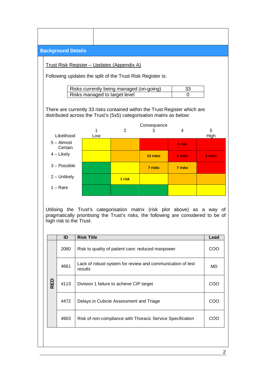|            | <b>Background Details</b>     |  |                   |                                                    |                                                                                                                                                                  |          |           |
|------------|-------------------------------|--|-------------------|----------------------------------------------------|------------------------------------------------------------------------------------------------------------------------------------------------------------------|----------|-----------|
|            |                               |  |                   | <u> Trust Risk Register – Updates (Appendix A)</u> |                                                                                                                                                                  |          |           |
|            |                               |  |                   |                                                    | Following updates the split of the Trust Risk Register is:                                                                                                       |          |           |
|            |                               |  |                   | Risks currently being managed (on-going)           |                                                                                                                                                                  | 33       |           |
|            |                               |  |                   | Risks managed to target level                      |                                                                                                                                                                  | $\Omega$ |           |
|            |                               |  |                   |                                                    | There are currently 33 risks contained within the Trust Register which are<br>distributed across the Trust's (5x5) categorisation matrix as below:               |          |           |
|            |                               |  |                   |                                                    | Consequence                                                                                                                                                      |          |           |
|            | Likelihood                    |  | 1<br>Low          | 2                                                  | 3                                                                                                                                                                | 4        | 5<br>High |
|            | $5 -$ Almost<br>Certain       |  |                   |                                                    |                                                                                                                                                                  | 1 risk   |           |
|            | $4$ – Likely                  |  |                   |                                                    | 13 risks                                                                                                                                                         | 2 risks  | 2 risks   |
|            | $3 - Possible$                |  |                   |                                                    | 7 risks                                                                                                                                                          | 7 risks  |           |
|            | 2 - Unlikely<br>1 risk        |  |                   |                                                    |                                                                                                                                                                  |          |           |
|            |                               |  |                   |                                                    |                                                                                                                                                                  |          |           |
|            | $1 - \text{Rare}$             |  |                   |                                                    |                                                                                                                                                                  |          |           |
|            | high risk to the Trust:<br>ID |  | <b>Risk Title</b> |                                                    | Utilising the Trust's categorisation matrix (risk plot above) as a way of<br>pragmatically prioritising the Trust's risks, the following are considered to be of |          | Lead      |
|            | 2080                          |  |                   |                                                    | Risk to quality of patient care: reduced manpower                                                                                                                |          | COO       |
|            | 4661                          |  | results           |                                                    | Lack of robust system for review and communication of test                                                                                                       |          | MD        |
| <b>RED</b> | 4113                          |  |                   | Division 1 failure to achieve CIP target           |                                                                                                                                                                  |          | COO       |
|            | 4472                          |  |                   | Delays in Cubicle Assessment and Triage            |                                                                                                                                                                  |          | COO       |

2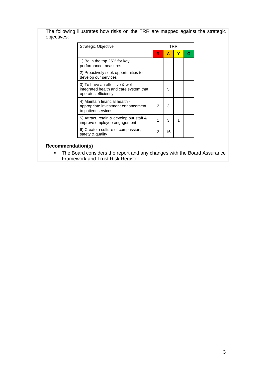The following illustrates how risks on the TRR are mapped against the strategic objectives:

| Strategic Objective                                                                              |                |    | TRR |   |
|--------------------------------------------------------------------------------------------------|----------------|----|-----|---|
|                                                                                                  | R              | А  | Y   | G |
| 1) Be in the top 25% for key<br>performance measures                                             |                |    |     |   |
| 2) Proactively seek opportunities to<br>develop our services                                     |                |    |     |   |
| 3) To have an effective & well<br>integrated health and care system that<br>operates efficiently |                | 5  |     |   |
| 4) Maintain financial health -<br>appropriate investment enhancement<br>to patient services      | $\mathfrak{p}$ | 3  |     |   |
| 5) Attract, retain & develop our staff &<br>improve employee engagement                          | 1              | 3  |     |   |
| 6) Create a culture of compassion,<br>safety & quality                                           | $\mathfrak{p}$ | 16 |     |   |

### **Recommendation(s)**

**The Board considers the report and any changes with the Board Assurance** Framework and Trust Risk Register.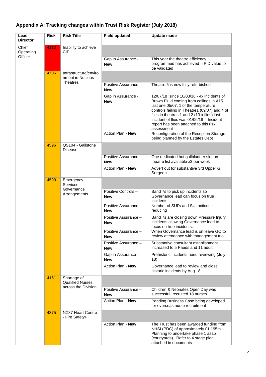| Lead<br><b>Director</b>       | <b>Risk</b> | <b>Risk Title</b>                                             | <b>Field updated</b>               | <b>Update made</b>                                                                                                                                                                                                                                                                                                               |
|-------------------------------|-------------|---------------------------------------------------------------|------------------------------------|----------------------------------------------------------------------------------------------------------------------------------------------------------------------------------------------------------------------------------------------------------------------------------------------------------------------------------|
| Chief<br>Operating<br>Officer | 4113        | Inability to achieve<br>CIP                                   |                                    |                                                                                                                                                                                                                                                                                                                                  |
|                               |             |                                                               | Gap in Assurance -<br><b>New</b>   | This year the theatre efficiency<br>programmed has achieved - PID value to<br>be validated                                                                                                                                                                                                                                       |
|                               | 4706        | Infrastructure/enviro<br>nment in Nucleus                     |                                    |                                                                                                                                                                                                                                                                                                                                  |
|                               |             | <b>Theatres</b>                                               | Positive Assurance -<br><b>New</b> | Theatre 5 is now fully refurbished                                                                                                                                                                                                                                                                                               |
|                               |             |                                                               | Gap in Assurance -<br><b>New</b>   | 12/07/18 since 10/03/18 - 4x incidents of<br>Brown Fluid coming from ceilings in A15<br>last one 05/07, 1 of the temperature<br>controls failing in Theatre1 (09/07) and 4 of<br>flies in theatres 1 and 2 (13 x flies) last<br>incident of flies was 01/06/18 - Incident<br>report has been attached to this risk<br>assessment |
|                               |             |                                                               | Action Plan - New                  | Reconfiguration of the Reception Storage<br>being planned by the Estates Dept                                                                                                                                                                                                                                                    |
|                               | 4596        | QS104 - Gallstone<br><b>Disease</b>                           |                                    |                                                                                                                                                                                                                                                                                                                                  |
|                               |             |                                                               | Positive Assurance -<br><b>New</b> | One dedicated hot gallbladder slot on<br>theatre list available x3 per week                                                                                                                                                                                                                                                      |
|                               |             |                                                               | Action Plan - New                  | Advert out for substantive 3rd Upper GI<br>Surgeon.                                                                                                                                                                                                                                                                              |
|                               | 4599        | Emergency<br><b>Services</b>                                  |                                    |                                                                                                                                                                                                                                                                                                                                  |
|                               |             | Governance<br>Arrangements                                    | Positive Controls -<br><b>New</b>  | Band 7s to pick up incidents so<br>Governance lead can focus on true<br>incidents                                                                                                                                                                                                                                                |
|                               |             |                                                               | Positive Assurance -<br><b>New</b> | Number of SUI's and SUI actions is<br>reducing                                                                                                                                                                                                                                                                                   |
|                               |             |                                                               | Positive Assurance -<br><b>New</b> | Band 7s are closing down Pressure Injury<br>incidents allowing Governance lead to<br>focus on true incidents.                                                                                                                                                                                                                    |
|                               |             |                                                               | Positive Assurance -<br><b>New</b> | When Governance lead is on leave GO to<br>review attendance with management trio                                                                                                                                                                                                                                                 |
|                               |             |                                                               | Positive Assurance -<br><b>New</b> | Substantive consultant establishment<br>increased to 5 Paeds and 11 adult                                                                                                                                                                                                                                                        |
|                               |             |                                                               | Gap in Assurance -<br><b>New</b>   | Prehistoric incidents need reviewing (July<br>18)                                                                                                                                                                                                                                                                                |
|                               |             |                                                               | Action Plan - New                  | Governance lead to review and close<br>historic incidents by Aug 18                                                                                                                                                                                                                                                              |
|                               | 4161        | Shortage of<br><b>Qualified Nurses</b><br>across the Division |                                    |                                                                                                                                                                                                                                                                                                                                  |
|                               |             |                                                               | Positive Assurance -<br><b>New</b> | Children & Neonates Open Day was<br>successful, recruited 18 nurses                                                                                                                                                                                                                                                              |
|                               |             |                                                               | Action Plan - New                  | Pending Business Case being developed<br>for overseas nurse recruitment                                                                                                                                                                                                                                                          |
|                               | 4375        | NX87 Heart Centre<br>- Fire SafetyF                           |                                    |                                                                                                                                                                                                                                                                                                                                  |
|                               |             |                                                               | Action Plan - New                  | The Trust has been awarded funding from<br>NHSI (PDC) of approximately £1.195m.<br>Planning to undertake phase 1 asap<br>(courtyards). Refer to 4 stage plan<br>attached in documents                                                                                                                                            |

### **Appendix A: Tracking changes within Trust Risk Register (July 2018)**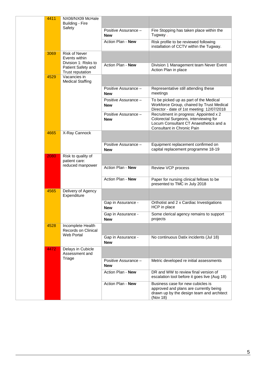| 4411 | NX08/NX09 McHale<br>Building - Fire                           |                                    |                                                                                                                                                         |
|------|---------------------------------------------------------------|------------------------------------|---------------------------------------------------------------------------------------------------------------------------------------------------------|
|      | Safety                                                        | Positive Assurance -<br><b>New</b> | Fire Stopping has taken place within the<br>Tugway.                                                                                                     |
|      |                                                               | Action Plan - New                  | Risk profile to be reviewed following<br>installation of CCTV within the Tugway.                                                                        |
| 3069 | <b>Risk of Never</b><br>Events within<br>Division 1: Risks to |                                    |                                                                                                                                                         |
|      | Patient Safety and<br>Trust reputation                        | Action Plan - New                  | Division 1 Management team Never Event<br>Action Plan in place                                                                                          |
| 4529 | Vacancies in<br><b>Medical Staffing</b>                       |                                    |                                                                                                                                                         |
|      |                                                               | Positive Assurance -<br><b>New</b> | Representative still attending these<br>meetings                                                                                                        |
|      |                                                               | Positive Assurance -<br><b>New</b> | To be picked up as part of the Medical<br>Workforce Group, chaired by Trust Medical<br>Director - date of 1st meeting: 12/07/2018                       |
|      |                                                               | Positive Assurance -<br><b>New</b> | Recruitment in progress: Appointed x 2<br>Colorectal Surgeons, interviewing for<br>Locum Consultant CT Anaesthetics and a<br>Consultant in Chronic Pain |
| 4665 | X-Ray Cannock                                                 |                                    |                                                                                                                                                         |
|      |                                                               | Positive Assurance -<br><b>New</b> | Equipment replacement confirmed on<br>capital replacement programme 18-19                                                                               |
| 2080 | Risk to quality of<br>patient care:<br>reduced manpower       |                                    |                                                                                                                                                         |
|      |                                                               | <b>Action Plan - New</b>           | Review VCP process                                                                                                                                      |
|      |                                                               | Action Plan - New                  | Paper for nursing clinical fellows to be<br>presented to TMC in July 2018                                                                               |
| 4565 | Delivery of Agency<br>Expenditure                             |                                    |                                                                                                                                                         |
|      |                                                               | Gap in Assurance -<br><b>New</b>   | Orthotist and 2 x Cardiac Investigations<br>HCP in place                                                                                                |
|      |                                                               | Gap in Assurance -<br><b>New</b>   | Some clerical agency remains to support<br>projects                                                                                                     |
| 4528 | Incomplete Health<br>Records on Clinical<br>Web Portal        |                                    |                                                                                                                                                         |
|      |                                                               | Gap in Assurance -<br><b>New</b>   | No continuous Datix incidents (Jul 18)                                                                                                                  |
| 4472 | Delays in Cubicle<br>Assessment and                           |                                    |                                                                                                                                                         |
|      | Triage                                                        | Positive Assurance -<br><b>New</b> | Metric developed re initial assessments                                                                                                                 |
|      |                                                               | Action Plan - New                  | DR and WW to review final version of<br>escalation tool before it goes live (Aug 18)                                                                    |
|      |                                                               | Action Plan - New                  | Business case for new cubicles is<br>approved and plans are currently being<br>drawn up by the design team and architect<br>(Nov 18)                    |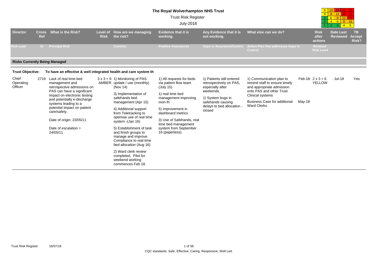#### **The Royal Wolverhampton NHS Trust**

Trust Risk Register

#### July-2018

| 5 |   | ◆   | 20 |    |
|---|---|-----|----|----|
|   | a | 12. | 16 | 40 |
|   | R |     | Ø  | Æ  |
|   |   | ጓ   |    |    |
|   |   |     |    |    |

|                                      |                                                                                     |                                                                                                      |                                                                                                                                                                                    |                                                                                                                               |                                                                      |                                                                                       |                                                                                                                    |  |                                          | . <u>.</u>                          |                                     |
|--------------------------------------|-------------------------------------------------------------------------------------|------------------------------------------------------------------------------------------------------|------------------------------------------------------------------------------------------------------------------------------------------------------------------------------------|-------------------------------------------------------------------------------------------------------------------------------|----------------------------------------------------------------------|---------------------------------------------------------------------------------------|--------------------------------------------------------------------------------------------------------------------|--|------------------------------------------|-------------------------------------|-------------------------------------|
| <b>Director</b>                      | <b>Cross</b><br>Ref                                                                 | What is the Risk?                                                                                    | Level of<br><b>Risk</b>                                                                                                                                                            | How are we managing<br>the risk?                                                                                              | <b>Evidence that it is</b><br>working.                               | Any Evidence that it is<br>not working.                                               | What else can we do?                                                                                               |  | <b>Risk</b><br>after<br>actions          | <b>Date Last</b><br><b>Reviewed</b> | <b>TB</b><br><b>Accept</b><br>Risk? |
| <b>Risk Lead</b>                     | D                                                                                   | <b>Principal Risk</b>                                                                                |                                                                                                                                                                                    | <b>Controls</b>                                                                                                               | <b>Positive Assurances</b>                                           | <b>Gaps in Assurance/Control</b>                                                      | Action Plan that addresses Gaps in<br>Control                                                                      |  | <b>Residual</b><br><b>Risk Level</b>     |                                     |                                     |
| <b>Risks Currently Being Managed</b> |                                                                                     |                                                                                                      |                                                                                                                                                                                    |                                                                                                                               |                                                                      |                                                                                       |                                                                                                                    |  |                                          |                                     |                                     |
| <b>Trust Objective:</b>              |                                                                                     | To have an effective & well integrated health and care system th                                     |                                                                                                                                                                                    |                                                                                                                               |                                                                      |                                                                                       |                                                                                                                    |  |                                          |                                     |                                     |
| Chief<br>Operating<br>Officer        | 2719                                                                                | Lack of real time bed<br>management and<br>retrospective admissions on<br>PAS can have a significant |                                                                                                                                                                                    | $3 \times 3 = 9$ 1) Monitoring of PAS<br>AMBER update / use (monthly)<br>(Nov 14)                                             | 1) All requests for beds<br>via patient flow team<br>(July 15)       | 1) Patients still entered<br>retrospectively on PAS,<br>especially after<br>weekends. | 1) Communication plan to<br>remind staff to ensure timely<br>and appropriate admission<br>onto PAS and other Trust |  | Feb-18 $2 \times 3 = 6$<br><b>YELLOW</b> | $Jul-18$                            | Yes                                 |
|                                      | impact on electronic testing<br>and potentially e-discharge<br>systems leading to a |                                                                                                      | 3) Implementation of<br>safehands bed                                                                                                                                              | 1) real time bed<br>management improving                                                                                      | 1) System bugs in<br>safehands causing<br>delays to bed allocation - | Clinical systems                                                                      |                                                                                                                    |  |                                          |                                     |                                     |
|                                      |                                                                                     |                                                                                                      | mon-fri<br>management (Apr 15)<br>Ward Clerks.<br>potential impact on patient<br>4) Additional support<br>5) Improvement in<br>closed<br>from Teletracking to<br>dashboard metrics |                                                                                                                               |                                                                      | <b>Business Case for additional</b>                                                   | May-18                                                                                                             |  |                                          |                                     |                                     |
|                                      |                                                                                     | care/safety.                                                                                         |                                                                                                                                                                                    |                                                                                                                               |                                                                      |                                                                                       |                                                                                                                    |  |                                          |                                     |                                     |
|                                      |                                                                                     | Date of origin: 23/05/11                                                                             |                                                                                                                                                                                    | optimise use of real time<br>system - (Jan 16)                                                                                | 3) Use of Safehands, real<br>time bed management                     |                                                                                       |                                                                                                                    |  |                                          |                                     |                                     |
|                                      |                                                                                     | Date of escalation $=$<br>24/05/11                                                                   |                                                                                                                                                                                    | 5) Establishment of task<br>and finish groups to<br>manage and improve.<br>Compliance to real time<br>bed allocation (Aug 16) | system from September<br>16 (paperless).                             |                                                                                       |                                                                                                                    |  |                                          |                                     |                                     |
|                                      |                                                                                     |                                                                                                      |                                                                                                                                                                                    | 2) Ward clerk review<br>completed. Pilot for<br>weekend working<br>commences Feb 18.                                          |                                                                      |                                                                                       |                                                                                                                    |  |                                          |                                     |                                     |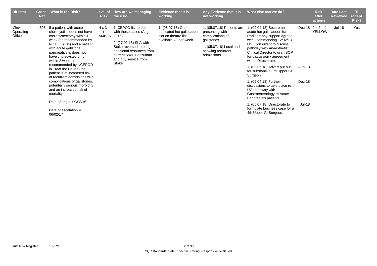| <b>Director</b>               | <b>Cross</b><br>Ref | What is the Risk?                                                                                                                                                                                                                                                                                                                                                                                                                                                                                                                             | <b>Risk</b>                   | Level of How are we managing<br>the risk?                                                                                                                                                             | <b>Evidence that it is</b><br>working.                                                          | Any Evidence that it is<br>not working.                                                                                                         | What else can we do?                                                                                                                                                                                                                                                                                                                                                                                                                                                                                                                                                           |                                   | <b>Risk</b><br>after<br>actions   | <b>Date Last</b><br><b>Reviewed</b> | TB.<br><b>Accept</b><br>Risk? |
|-------------------------------|---------------------|-----------------------------------------------------------------------------------------------------------------------------------------------------------------------------------------------------------------------------------------------------------------------------------------------------------------------------------------------------------------------------------------------------------------------------------------------------------------------------------------------------------------------------------------------|-------------------------------|-------------------------------------------------------------------------------------------------------------------------------------------------------------------------------------------------------|-------------------------------------------------------------------------------------------------|-------------------------------------------------------------------------------------------------------------------------------------------------|--------------------------------------------------------------------------------------------------------------------------------------------------------------------------------------------------------------------------------------------------------------------------------------------------------------------------------------------------------------------------------------------------------------------------------------------------------------------------------------------------------------------------------------------------------------------------------|-----------------------------------|-----------------------------------|-------------------------------------|-------------------------------|
| Chief<br>Operating<br>Officer | 4596                | If a patient with acute<br>cholecystitis does not have<br>cholecystectomy within 1<br>week (as recommended by<br>NICE QS104) and a patient<br>with acute gallstone<br>pancreatitis is does not<br>have cholecystectomy<br>within 2 weeks (as<br>recommended by NCEPOD<br>in Treat the Cause) the<br>patient is at increased risk<br>of recurrent admissions with<br>complications of gallstones,<br>potentially serious morbidity<br>and an increased risk of<br>mortality.<br>Date of origin: 09/08/16<br>Date of escalation $=$<br>06/02/17 | $4 \times 3 =$<br>12<br>AMBER | 1. CEPOD list to deal<br>with these cases (Aug.<br>2016)<br>2. (27.02.18) SLA with<br>Stoke reversed to bring<br>additional resources from<br>current RWT Consultant<br>and buy service from<br>Stoke | 1. (05.07.18) One<br>dedicated hot gallbladder<br>slot on theatre list<br>available x3 per week | 1. (05.07.18) Patients are<br>presenting with<br>complications of<br>gallstones<br>1. (05.07.18) Local audit<br>showing recurrent<br>admissions | 1. (09.04.18) Secure an<br>acute hot gallbladder list -<br>Radiography support agreed<br>week commencing 12/02/18.<br>UGI Consultant to discuss<br>pathway with Anaesthetist.<br>Clinical Director to draft SOP<br>for discussion / agreement<br>within Directorate.<br>1. (05.07.18) Advert put out<br>for substantive 3rd Upper GI<br>Surgeon.<br>1. (09.04.18) Further<br>discussions to take place re:<br>UGI pathway with<br>Gastroenterology re Acute<br>Pancreatitis patients<br>1. (05.07.18) Directorate to<br>formulate business case for a<br>4th Upper GI Surgeon. | Aug-18<br>Dec-18<br><b>Jul-18</b> | Dec-18 $2 \times 2 = 4$<br>YELLOW | Jul-18                              | Yes                           |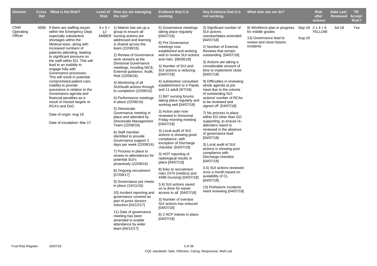| <b>Director</b>               | <b>Ref</b> | Cross What is the Risk?                                                                                                                                                                                                                                                                                                                                                        | <b>Risk</b> | Level of How are we managing<br>the risk?                                                                                                                                                                                                                                                                                                                                                                                                                                                                                                                                                                                                                                                                                                                            | <b>Evidence that it is</b><br>working.                                                                                                                                                                                                                                                                                                                                                                                                                                                                                                                                                                                                                                                                                                 | Any Evidence that it is<br>not working.                                                                                                                                                                                                                                                                                                                                                                                                                                                                                                                                                                              | What else can we do? |                                          | <b>Risk</b><br>after<br>actions | Date Last<br><b>Reviewed</b> | <b>TB</b><br><b>Accept</b><br>Risk? |
|-------------------------------|------------|--------------------------------------------------------------------------------------------------------------------------------------------------------------------------------------------------------------------------------------------------------------------------------------------------------------------------------------------------------------------------------|-------------|----------------------------------------------------------------------------------------------------------------------------------------------------------------------------------------------------------------------------------------------------------------------------------------------------------------------------------------------------------------------------------------------------------------------------------------------------------------------------------------------------------------------------------------------------------------------------------------------------------------------------------------------------------------------------------------------------------------------------------------------------------------------|----------------------------------------------------------------------------------------------------------------------------------------------------------------------------------------------------------------------------------------------------------------------------------------------------------------------------------------------------------------------------------------------------------------------------------------------------------------------------------------------------------------------------------------------------------------------------------------------------------------------------------------------------------------------------------------------------------------------------------------|----------------------------------------------------------------------------------------------------------------------------------------------------------------------------------------------------------------------------------------------------------------------------------------------------------------------------------------------------------------------------------------------------------------------------------------------------------------------------------------------------------------------------------------------------------------------------------------------------------------------|----------------------|------------------------------------------|---------------------------------|------------------------------|-------------------------------------|
| Chief<br>Operating<br>Officer |            | 4599 If there are staffing issues<br>within the Emergency Dept,<br>especially substantive<br>shortages within the<br>Medical team, along with<br>increased numbers of<br>patients attending, leading<br>to significant pressure on<br>the staff within ED. This will<br>lead to an inability to<br>engage fully with<br>Governance processes.<br>This will result in potential | 12          | $4 \times 3 = 1$ ) Matron has set up a<br>group to ensure all<br>AMBER nursing actions are<br>addressed and learning<br>is shared across the<br>team (22/08/16)<br>2) Review of Governance<br>work streams at the<br><b>Divisional Governance</b><br>meetings, incuding NICE,<br>External guidance, Audit,<br>Risk (22/08/16)                                                                                                                                                                                                                                                                                                                                                                                                                                        | 3) Significant number of<br>SUI actions<br>overdue/dates amended<br>[04/07/18]<br>2) Number of External<br>Reviews that remain<br>outstanding [04/07/18]<br>3) Actions are taking a<br>considerable amount of<br>time to implement/ close<br>[04/07/18]                                                                                                                                                                                                                                                                                                                                                                                                                                                                                | 8) Workforce plan in progress<br>for middle grades<br>13) Governance lead to<br>review and close historic<br>incidents                                                                                                                                                                                                                                                                                                                                                                                                                                                                                               | Aug-18               | Sep-18 $2 \times 3 = 6$<br><b>YELLOW</b> | <b>Jul-18</b>                   | Yes                          |                                     |
|                               |            | compromised patient care,<br>inability to provide<br>assurance in relation to the<br>Governance agenda and<br>financial penalties as a<br>result of missed targets re<br>RCA's and DoC.<br>Date of origin: Aug 16<br>Date of escalation: Mar 17                                                                                                                                |             | 3) Monitoring of all<br>SUI/Audit actions through<br>to completion (22/08/16)<br>4) Performance meetings<br>in place (22/08/16)<br>5) Directorate<br>Governance meeting in<br>place and attended by<br>Directorate Management<br>Team (22/08/16)<br>6) Staff member<br>identified to provide<br>Governance support 2<br>days per week (22/08/16)<br>7) Process in place to<br>review re-attendances for<br>potential SUI's<br>proactively (22/08/16)<br>8) Ongoing recruitment<br>[07/09/17]<br>9) Governance pre meets<br>in place (14/11/16)<br>10) Incident reporting and<br>governance covered as<br>part of junior doctors<br>induction [04/12/17]<br>11) Date of governance<br>meeting has been<br>amended to enable<br>attendance by wider<br>team [04/12/17] | 4) substantive consultant<br>establishment to 5 Paeds<br>and 11 adult (9/7/18)<br>1) Bd7 nursing forums<br>taking place regularly and<br>working well [04/07/18]<br>3) Action plan now<br>reviewed in Divisional<br>Friday morning meeting<br>[04/07/18]<br>3) Local audit of SUI<br>actions is showing good<br>compliance, with<br>exception of Discharge<br>checklist [04/07/18]<br>3) HOT reporting of<br>radiological results in<br>place [04/07/18]<br>8) links to recruitment<br>risks 2374 (medics) and<br>4496 (nursing) [04/07/18]<br>3,4) SUI actions saved<br>on w drive for easier<br>access to all [04/07/18]<br>3) Number of overdue<br>SUI actions has reduced<br>[04/07/18]<br>8) 2 ACP trainee in place<br>[04/07/18] | 9) Difficulties in reviewing<br>whole agenda at pre<br>meet due to the volume<br>of outstanding SUI<br>actions/ number of RCAs<br>to be reviewed and<br>signed off [04/07/18]<br>7) No process in place<br>within ED other than GO<br>supporting, to ensure re-<br>attenders report is<br>reviewed in the absence<br>of governance lead<br>[04/07/18]<br>3) Local audit of SUI<br>actions is showing poor<br>compliance with<br>Discharge checklist<br>[04/07/18]<br>3,4) SUI actions reviewed<br>once a month based on<br>avalability of CL<br>[04/07/18]<br>13) Prehistoric incidents<br>need reviewing [04/07/18] |                      |                                          |                                 |                              |                                     |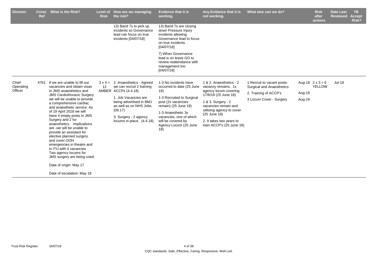| <b>Director</b>               | <b>Cross</b><br><b>Ref</b> | What is the Risk?                                                                                                                                                                                                                                                                                                                                                                                                                                                                                                                                                                                                | <b>Risk</b> | Level of How are we managing<br>the risk?                                                                                                                                                                                                    | <b>Evidence that it is</b><br>working.                                                                                                                                                                                                      | Any Evidence that it is<br>not working.                                                                                                                                                                                                             | What else can we do?                                                                                                | <b>Risk</b><br>after<br>actions                              | <b>Date Last</b><br><b>Reviewed</b> | TB.<br><b>Accept</b><br>Risk? |
|-------------------------------|----------------------------|------------------------------------------------------------------------------------------------------------------------------------------------------------------------------------------------------------------------------------------------------------------------------------------------------------------------------------------------------------------------------------------------------------------------------------------------------------------------------------------------------------------------------------------------------------------------------------------------------------------|-------------|----------------------------------------------------------------------------------------------------------------------------------------------------------------------------------------------------------------------------------------------|---------------------------------------------------------------------------------------------------------------------------------------------------------------------------------------------------------------------------------------------|-----------------------------------------------------------------------------------------------------------------------------------------------------------------------------------------------------------------------------------------------------|---------------------------------------------------------------------------------------------------------------------|--------------------------------------------------------------|-------------------------------------|-------------------------------|
|                               |                            |                                                                                                                                                                                                                                                                                                                                                                                                                                                                                                                                                                                                                  |             | 13) Band 7s to pick up<br>incidents so Governance<br>lead can focus on true<br>incidents [04/07/18]                                                                                                                                          | 13) Band 7s are closing<br>down Pressure Injury<br>incidents allowing<br>Governance lead to focus<br>on true incidents.<br>[04/07/18]                                                                                                       |                                                                                                                                                                                                                                                     |                                                                                                                     |                                                              |                                     |                               |
|                               |                            |                                                                                                                                                                                                                                                                                                                                                                                                                                                                                                                                                                                                                  |             |                                                                                                                                                                                                                                              | 7) When Governance<br>lead is on leave GO to<br>review reattendance with<br>management trio<br>[04/07/18]                                                                                                                                   |                                                                                                                                                                                                                                                     |                                                                                                                     |                                                              |                                     |                               |
| Chief<br>Operating<br>Officer | 4761                       | If we are unable to fill our<br>vacancies and obtain visas<br>in JMS anaesthetics and<br><b>JMS Cardiothoracic Surgery</b><br>we will be unable to provide<br>a comprehensive cardiac<br>and anaesthetic service. As<br>of 19 April 2018 we will<br>have 4 empty posts in JMS<br>Surgery and 2 for<br>anaesthetics. Implications<br>are -we will be unable to<br>provide an assistant for<br>elective planned surgery<br>and cover OOH<br>emergencies in theatre and<br>in ITU with 4 vacancies.<br>Two agency locums for<br>JMS surgery are being used.<br>Date of origin: May 17<br>Date of escalation: May 18 | 12          | $3 \times 4 = 2$ . Anaesthetics - Agreed<br>we can recruit 2 training<br>AMBER ACCPs (4.4.18)<br>1. Job Vacancies are<br>being advertised in BMJ<br>as well as on NHS Jobs.<br>(09.17)<br>3. Surgery - 2 agency<br>locums in place. (4.4.18) | 1-3 No incidents have<br>occurred to date (25 June<br>18)<br>1-3 Recruited to Surgical<br>post (2x vacancies<br>remain) (25 June 18)<br>1-3 Anaesthetic 3x<br>vacancies, one of which<br>will be covered by<br>Agency Locum (25 June<br>18) | 1 & 2. Anaesthetics - 2<br>vacancy remains, 1x<br>agency locum covering<br>17/6/18 (25 June 18)<br>1 & 3. Surgery - 2<br>vacancies remain and<br>utilising agency to cover<br>(25 June 18)<br>2. It takes two years to<br>train ACCP's (25 June 18) | 1. Recruit to vacant posts-<br><b>Surgical and Anaesthetics</b><br>2. Training of ACCP's<br>3 Locum Cover - Surgery | Aug-18 $2 \times 3 = 6$<br><b>YELLOW</b><br>Aug-18<br>Aug-18 | <b>Jul-18</b>                       |                               |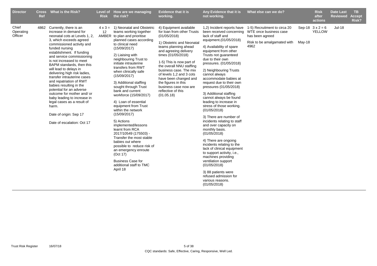| <b>Director</b>               | Ref | Cross What is the Risk?                                                                                                                                                                                                                                                                                                                                                                                                                                                                                                                                                                                                    | <b>Risk</b> | Level of How are we managing<br>the risk?                                                                                                                                                                                                                                                                                                                                                                                                                                                                                                                                                                                                                                                                                                                          | <b>Evidence that it is</b><br>working.                                                                                                                                                                                                                                                                                                                                                              | Any Evidence that it is<br>not working.                                                                                                                                                                                                                                                                                                                                                                                                                                                                                                                                                                                                                                                                                                                                                                                                                                    | What else can we do?                                                                                             |        | <b>Risk</b><br>after<br>actions | Date Last<br><b>Reviewed</b> | TB.<br><b>Accept</b><br>Risk? |
|-------------------------------|-----|----------------------------------------------------------------------------------------------------------------------------------------------------------------------------------------------------------------------------------------------------------------------------------------------------------------------------------------------------------------------------------------------------------------------------------------------------------------------------------------------------------------------------------------------------------------------------------------------------------------------------|-------------|--------------------------------------------------------------------------------------------------------------------------------------------------------------------------------------------------------------------------------------------------------------------------------------------------------------------------------------------------------------------------------------------------------------------------------------------------------------------------------------------------------------------------------------------------------------------------------------------------------------------------------------------------------------------------------------------------------------------------------------------------------------------|-----------------------------------------------------------------------------------------------------------------------------------------------------------------------------------------------------------------------------------------------------------------------------------------------------------------------------------------------------------------------------------------------------|----------------------------------------------------------------------------------------------------------------------------------------------------------------------------------------------------------------------------------------------------------------------------------------------------------------------------------------------------------------------------------------------------------------------------------------------------------------------------------------------------------------------------------------------------------------------------------------------------------------------------------------------------------------------------------------------------------------------------------------------------------------------------------------------------------------------------------------------------------------------------|------------------------------------------------------------------------------------------------------------------|--------|---------------------------------|------------------------------|-------------------------------|
| Chief<br>Operating<br>Officer |     | 4862 Currently, there is an<br>increase in demand for<br>neonatal cots at Levels 1, 2,<br>3, which exceeds agreed<br>commissioned activity and<br>funded nursing<br>establishment. If funding<br>and service commissioning<br>is not increased to meet<br>BAPM standards, then this<br>will lead to delays in<br>delivering high risk ladies,<br>transfer intrauterine cases<br>and repatriation of RWT<br>babies resulting in the<br>potential for an adverse<br>outcome for mother and/ or<br>baby leading to increase in<br>legal cases as a result of<br>harm.<br>Date of origin: Sep 17<br>Date of escalation: Oct 17 | 12          | $4 \times 3 = 1$ ) Neonatal and Obstetric<br>teams working together<br>AMBER to plan and prioritise<br>planned cases according<br>to clinical need<br>(15/09/2017)<br>2) Liaising with<br>neighbouring Trust to<br>initiate intrauterine<br>transfers from RWT<br>when clinically safe<br>(15/09/2017)<br>3) Additional staffing<br>sought through Trust<br>bank and current<br>workforce (15/09/2017)<br>4) Loan of essential<br>equipment from Trust<br>within the network<br>(15/09/2017)<br>5) Actions<br>implemented/lessons<br>learnt from RCA<br>2017/10549 (175503) -<br>Transfer the most stable<br>babies out where<br>possible to reduce risk of<br>an emergency enroute<br>(Oct 17)<br><b>Business Case for</b><br>additional staff to TMC<br>April 18 | 4) Equipment available<br>for loan from other Trusts<br>(01/05/2018)<br>1) Obstetric and Neonatal<br>teams planning ahead<br>and agreeing delivery<br>times (01/05/2018)<br>1-5) This is now part of<br>the overall NNU staffing<br>business case. The mix<br>of levels 1,2 and 3 cots<br>have been changed and<br>the figures in this<br>business case now are<br>reflective of this<br>(01.05.18) | 1,2) Incident reports have<br>been received concerning<br>lack of staff and<br>equipment.(01/05/2018)<br>4) Availability of spare<br>equipment from other<br>Trusts not quaranteed<br>due to their own<br>pressures. (01/05/2018)<br>2) Neighbouring Trusts<br>cannot always<br>accommodate babies at<br>request due to their own<br>pressures (01/05/2018)<br>3) Additional staffing<br>cannot always be found<br>leading to increase in<br>stress of those working.<br>(01/05/2018)<br>3) There are number of<br>incidents relating to staff<br>and over capacity on<br>monthly basis.<br>(01/05/2018)<br>4) There are ongoing<br>incidents relating to the<br>lack of clinical equipment<br>to support activity, i.e.,<br>machines providing<br>ventilation support<br>(01/05/2018)<br>3) 88 patients were<br>refused admission for<br>various reasons.<br>(01/05/2018) | 1-5) Recruitment to circa 20<br>WTE once business case<br>has been agreed<br>Risk to be amalgamated with<br>4962 | May-18 | Sep-18 $3x2=6$<br><b>YELLOW</b> | <b>Jul-18</b>                |                               |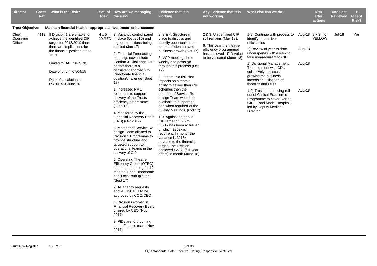| <b>Director</b>               | <b>Ref</b> | Cross What is the Risk?                                                                                                                                                                                                                                                    | <b>Risk</b> | Level of How are we managing<br>the risk?                                                                                                                                                                                                                                                                                                                                                                                                                                                                                                                                                                                                                                                                                                                                                                                                                                                                                                                                                                                                                                   | <b>Evidence that it is</b><br>working.                                                                                                                                                                                                                                                                                                                                                                                                                                                                                                                                                                                                                                                                                                | Any Evidence that it is<br>not working.                                                                                                                          | What else can we do?                                                                                                                                                                                                                                                                                                                                                                                                                                                                 |                            | <b>Risk</b><br>after<br>actions          | <b>Date Last</b><br><b>Reviewed</b> | <b>TB</b><br><b>Accept</b><br>Risk? |
|-------------------------------|------------|----------------------------------------------------------------------------------------------------------------------------------------------------------------------------------------------------------------------------------------------------------------------------|-------------|-----------------------------------------------------------------------------------------------------------------------------------------------------------------------------------------------------------------------------------------------------------------------------------------------------------------------------------------------------------------------------------------------------------------------------------------------------------------------------------------------------------------------------------------------------------------------------------------------------------------------------------------------------------------------------------------------------------------------------------------------------------------------------------------------------------------------------------------------------------------------------------------------------------------------------------------------------------------------------------------------------------------------------------------------------------------------------|---------------------------------------------------------------------------------------------------------------------------------------------------------------------------------------------------------------------------------------------------------------------------------------------------------------------------------------------------------------------------------------------------------------------------------------------------------------------------------------------------------------------------------------------------------------------------------------------------------------------------------------------------------------------------------------------------------------------------------------|------------------------------------------------------------------------------------------------------------------------------------------------------------------|--------------------------------------------------------------------------------------------------------------------------------------------------------------------------------------------------------------------------------------------------------------------------------------------------------------------------------------------------------------------------------------------------------------------------------------------------------------------------------------|----------------------------|------------------------------------------|-------------------------------------|-------------------------------------|
| <b>Trust Objective:</b>       |            | Maintain financial health - appropriate investment enhancement                                                                                                                                                                                                             |             |                                                                                                                                                                                                                                                                                                                                                                                                                                                                                                                                                                                                                                                                                                                                                                                                                                                                                                                                                                                                                                                                             |                                                                                                                                                                                                                                                                                                                                                                                                                                                                                                                                                                                                                                                                                                                                       |                                                                                                                                                                  |                                                                                                                                                                                                                                                                                                                                                                                                                                                                                      |                            |                                          |                                     |                                     |
| Chief<br>Operating<br>Officer |            | 4113 If Division 1 are unable to<br>achieve the identified CIP<br>target for 2018/2019 then<br>there are implications for<br>the financial position of the<br>Trust<br>Linked to BAF risk SR8.<br>Date of origin: 07/04/15<br>Date of escalation $=$<br>09/10/15 & June 16 |             | $4 \times 5 = 3$ . Vacancy control panel<br>20 RED in place (Oct 2015) and<br>higher restrictions being<br>applied (Jan 17)<br>2. Financial Forecasting<br>meetings now include<br>Confirm & Challenge CIP<br>so that there is a<br>consistent approach to<br>Directorate financial<br>position/challenge (Sept<br>17)<br>1. Increased PMO<br>resources to support<br>delivery of the Trusts<br>efficiency programme<br>(June 16)<br>4. Monitored by the<br>Financial Recovery Board<br>(FRB) (Oct 2017)<br>5. Member of Service Re-<br>design Team aligned to<br>Division 1 Programme to<br>provide structure and<br>targeted support to<br>operational teams in their<br>delivery of CIP<br>6. Operating Theatre<br>Efficiency Group (OTEG)<br>set-up and running for 12<br>months. Each Directorate<br>has 'Local' sub-groups<br>(Sept 17)<br>7. All agency requests<br>above £120 P.H to be<br>approved by COO/CEO<br>8. Division involved in<br><b>Financial Recovery Board</b><br>chaired by CEO (Nov<br>2017)<br>9. PIDs are forthcoming<br>to the Finance team (Nov | 2, 3 & 4. Structure in<br>place to discuss and<br>identify opportunities to<br>create efficiencies and<br>business growth (Oct 17)<br>3. VCP meetings held<br>weekly and posts go<br>through this process (Oct<br>17)<br>5. If there is a risk that<br>impacts on a team's<br>ability to deliver their CIP<br>schemes then the<br>member of Service Re-<br>deisgn Team would be<br>available to support as<br>and when required at the<br>Quality Meetings. (Oct 17)<br>1-9. Against an annual<br>CIP target of £9.9m,<br>£591k has been achieved<br>of which £363k is<br>recurrent. In month the<br>variance is £218k<br>adverse to the financial<br>target. The Division<br>achieved £276k (full year<br>effect) in month (June 18) | 2 & 3. Unidentified CIP<br>still remains (May 18).<br>6. This year the theatre<br>efficiency programmed<br>has achieved - PID value<br>to be validated (June 18) | 1-9) Continue with process to<br>identify and deliver<br>efficiencies<br>2) Review of year to date<br>underspends with a view to<br>take non-recurrent to CIP<br>1) Divisional Management<br>Team to meet with CDs<br>collectively to discuss<br>growing the business,<br>increasing utilisation of<br>theatres and OPD<br>1-9) Trust commencing roll-<br>out of Clinical Excellence<br>Programme to cover Carter,<br>GIRFT and Model Hospital,<br>led by Deputy Medical<br>Director | Aug-18<br>Aug-18<br>Aug-18 | Aug-18 $2 \times 3 = 6$<br><b>YELLOW</b> | <b>Jul-18</b>                       | Yes                                 |
|                               |            |                                                                                                                                                                                                                                                                            |             | 2017)                                                                                                                                                                                                                                                                                                                                                                                                                                                                                                                                                                                                                                                                                                                                                                                                                                                                                                                                                                                                                                                                       |                                                                                                                                                                                                                                                                                                                                                                                                                                                                                                                                                                                                                                                                                                                                       |                                                                                                                                                                  |                                                                                                                                                                                                                                                                                                                                                                                                                                                                                      |                            |                                          |                                     |                                     |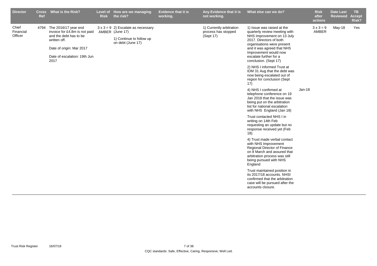| <b>Director</b>               | Ref | Cross What is the Risk?                                                                                                                                                  | <b>Risk</b> | Level of How are we managing<br>the risk?                                                                     | Evidence that it is<br>working. | Any Evidence that it is<br>not working.                      | What else can we do?                                                                                                                                                                                                                                         |          | <b>Risk</b><br>after<br>actions | <b>Date Last</b><br><b>Reviewed</b> | <b>TB</b><br><b>Accept</b><br>Risk? |
|-------------------------------|-----|--------------------------------------------------------------------------------------------------------------------------------------------------------------------------|-------------|---------------------------------------------------------------------------------------------------------------|---------------------------------|--------------------------------------------------------------|--------------------------------------------------------------------------------------------------------------------------------------------------------------------------------------------------------------------------------------------------------------|----------|---------------------------------|-------------------------------------|-------------------------------------|
| Chief<br>Financial<br>Officer |     | 4794 The 2016/17 year end<br>invoice for £4.8m is not paid<br>and the debt has to be<br>written off.<br>Date of origin: Mar 2017<br>Date of escalation: 19th Jun<br>2017 |             | $3 \times 3 = 9$ 2) Escalate as necessary<br>AMBER (June 17)<br>1) Continue to follow up<br>on debt (June 17) |                                 | 1) Currently arbitration<br>process has stopped<br>(Sept 17) | 1) Issue was raised at the<br>quarterly review meeting with<br>NHS Improvement on 13 July<br>2017. Directors of both<br>organisations were present<br>and it was agreed that NHS<br>Improvement would now<br>escalate further for a<br>conclusion. (Sept 17) |          | $3 \times 3 = 9$<br>AMBER       | May-18                              | Yes                                 |
|                               |     |                                                                                                                                                                          |             |                                                                                                               |                                 |                                                              | 2) NHS I informed Trust at<br>IDM 31 Aug that the debt was<br>now being escalated out of<br>region for conclusion (Sept<br>17)                                                                                                                               |          |                                 |                                     |                                     |
|                               |     |                                                                                                                                                                          |             |                                                                                                               |                                 |                                                              | 4) NHS I confirmed at<br>telephone conference on 19<br>Jan 2018 that the issue was<br>being put on the arbitration<br>list for national escalation<br>with NHS England (Jan 18)                                                                              | $Jan-18$ |                                 |                                     |                                     |
|                               |     |                                                                                                                                                                          |             |                                                                                                               |                                 |                                                              | Trust contacted NHS I in<br>writing on 14th Feb<br>requesting an update but no<br>response received yet (Feb<br>$18)$ .                                                                                                                                      |          |                                 |                                     |                                     |
|                               |     |                                                                                                                                                                          |             |                                                                                                               |                                 |                                                              | 4) Trust made verbal contact<br>with NHS Improvement<br>Regional Director of Finance<br>on 8 March and assured that<br>arbitration process was still<br>being pursued with NHS<br>England                                                                    |          |                                 |                                     |                                     |
|                               |     |                                                                                                                                                                          |             |                                                                                                               |                                 |                                                              | Trust maintained position in<br>its 2017/18 accounts. NHSI<br>confirmed that the arbitration<br>case will be pursued after the<br>accounts closure.                                                                                                          |          |                                 |                                     |                                     |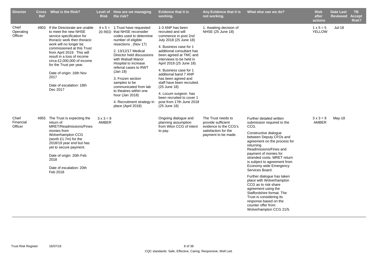| <b>Director</b>               | <b>Ref</b> | Cross What is the Risk?                                                                                                                                                                                                                                                                                                                                                    | <b>Risk</b>                      | Level of How are we managing<br>the risk?                                                                                                                                                                                                                                                                                                                                                                                                               | <b>Evidence that it is</b><br>working.                                                                                                                                                                                                                                                                                                                                                                                                                    | Any Evidence that it is<br>not working.                                                                          | What else can we do?                                                                                                                                                                                                                                                                                                                                                                                                                                                                                                                                                       | <b>Risk</b><br>after<br>actions   | <b>Date Last</b><br><b>Reviewed</b> | TB.<br><b>Accept</b><br>Risk? |
|-------------------------------|------------|----------------------------------------------------------------------------------------------------------------------------------------------------------------------------------------------------------------------------------------------------------------------------------------------------------------------------------------------------------------------------|----------------------------------|---------------------------------------------------------------------------------------------------------------------------------------------------------------------------------------------------------------------------------------------------------------------------------------------------------------------------------------------------------------------------------------------------------------------------------------------------------|-----------------------------------------------------------------------------------------------------------------------------------------------------------------------------------------------------------------------------------------------------------------------------------------------------------------------------------------------------------------------------------------------------------------------------------------------------------|------------------------------------------------------------------------------------------------------------------|----------------------------------------------------------------------------------------------------------------------------------------------------------------------------------------------------------------------------------------------------------------------------------------------------------------------------------------------------------------------------------------------------------------------------------------------------------------------------------------------------------------------------------------------------------------------------|-----------------------------------|-------------------------------------|-------------------------------|
| Chief<br>Operating<br>Officer | 4903       | If the Directorate are unable<br>to meet the new NHSE<br>service specification for<br>thoracic work then thoracic<br>work will no longer be<br>commissioned at this Trust<br>from April 2019. This will<br>result in a loss of income<br>circa £2,000,000 of income<br>for the Trust per year.<br>Date of origin: 16th Nov<br>2017<br>Date of escalation: 18th<br>Dec 2017 |                                  | $4 \times 5 = 1$ . Trust have requested<br>20 RED that NHSE reconsider<br>codes used to determine<br>number of eligible<br>resections . (Nov 17)<br>2. 13/12/17 Medical<br>Director held discussions<br>with Walsall Manor<br>Hospital to increase<br>referral cases to RWT<br>(Jan 18)<br>3. Frozen section<br>samples to be<br>communicated from lab<br>to theatres within one<br>hour (Jan 2018)<br>4. Recruitment strategy in<br>place (April 2018) | 1-3 ANP has been<br>recruited and will<br>commence in post 2nd<br>July 2018 (25 June 18)<br>4. Business case for 1<br>additional consultant has<br>been agreed at TMC and<br>interviews to be held in<br>April 2018 (25 June 18)<br>4. Business case for 1<br>additional band 7 ANP<br>has been agreed and<br>staff have been recruited.<br>(25 June 18)<br>4. Locum surgeon has<br>been recruited to cover 1<br>post from 17th June 2018<br>(25 June 18) | 1. Awaiting decision of<br>NHSE (25 June 18)                                                                     |                                                                                                                                                                                                                                                                                                                                                                                                                                                                                                                                                                            | $1 \times 5 = 5$<br><b>YELLOW</b> | <b>Jul-18</b>                       |                               |
| Chief<br>Financial<br>Officer |            | 4955 The Trust is expecting the<br>return of<br>MRET/Readmissions/Fines<br>monies from<br>Wolverhampton CCG<br>(worth $£1.7m$ ) for the<br>2018/19 year end but has<br>yet to secure payment.<br>Date of origin: 20th Feb<br>2018<br>Date of escalation: 20th<br>Feb 2018                                                                                                  | $3 \times 3 = 9$<br><b>AMBER</b> |                                                                                                                                                                                                                                                                                                                                                                                                                                                         | Ongoing dialogue and<br>planning assumption<br>from Wton CCG of intent<br>to pay.                                                                                                                                                                                                                                                                                                                                                                         | The Trust needs to<br>provide sufficient<br>evidence to the CCG's<br>satisfaction for the<br>payment to be made. | Further detailed written<br>submission required to the<br>CCG.<br>Constructive dialogue<br>between Deputy CFOs and<br>agreement on the process for<br>returning<br>Readmissions/Fines and<br>payment of monies for<br>stranded costs. MRET return<br>is subject to agreement from<br>Economy wide Emergency<br>Services Board.<br>Further dialogue has taken<br>place with Wolverhampton<br>CCG as to risk share<br>agreement using the<br>Staffordshire format. The<br>Trust is considering its<br>response based on the<br>counter offer from<br>Wolverhampton CCG 21/5. | $3 \times 3 = 9$<br>AMBER         | May-18                              |                               |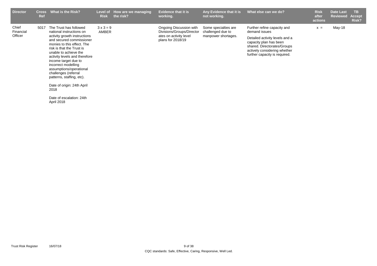| <b>Director</b>               | <b>Cross</b><br>Ref | What is the Risk?                                                                                                                                                                                                                                                                                                                                                                                                                                  | Level of<br><b>Risk</b>   | How are we managing<br>the risk? | <b>Evidence that it is</b><br>working.                                                              | Any Evidence that it is<br>not working.                          | What else can we do?                                                                                                                                                                                     | <b>Risk</b><br>after<br>actions | <b>Date Last</b><br><b>Reviewed</b> | <b>TB</b><br>Accept<br>Risk? |
|-------------------------------|---------------------|----------------------------------------------------------------------------------------------------------------------------------------------------------------------------------------------------------------------------------------------------------------------------------------------------------------------------------------------------------------------------------------------------------------------------------------------------|---------------------------|----------------------------------|-----------------------------------------------------------------------------------------------------|------------------------------------------------------------------|----------------------------------------------------------------------------------------------------------------------------------------------------------------------------------------------------------|---------------------------------|-------------------------------------|------------------------------|
| Chief<br>Financial<br>Officer | 5017                | The Trust has followed<br>national instructions on<br>activity growth instructions<br>and secured commissioner<br>monies to this effect. The<br>risk is that the Trust is<br>unable to achieve the<br>activity levels and therefore<br>income target due to<br>incorrect modelling<br>assumptions/operational<br>challenges (referral<br>patterns, staffing, etc).<br>Date of origin: 24th April<br>2018<br>Date of escalation: 24th<br>April 2018 | $3 \times 3 = 9$<br>AMBER |                                  | Ongoing Discussion with<br>Divisions/Groups/Director<br>ates on activity level<br>plans for 2018/19 | Some specialties are<br>challenged due to<br>manpower shortages. | Further refine capacity and<br>demand issues<br>Detailed activity levels and a<br>capacity plan has been<br>shared. Directorates/Groups<br>actively considering whether<br>further capacity is required. | $x =$                           | May-18                              |                              |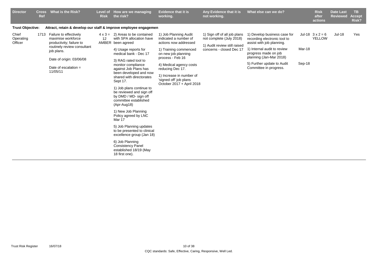| <b>Director</b><br><b>Evidence that it is</b><br>What is the Risk?<br>Any Evidence that it is<br>What else can we do?<br>How are we managing<br><b>Cross</b><br><b>Level of</b><br><b>Risk</b><br>the risk?<br>working.<br>not working.<br>Ref                                                                                                                                                                                                                                                                                                                                                                                                                                                                                                                                                                                                                                                                                                                                                                                                                                                                                                                                                                                                                                                                                                                                                                                                                                                                                                 |                  | <b>Risk</b><br>after<br>actions          | <b>Date Last</b><br><b>Reviewed</b> | TB.<br><b>Accept</b><br>Risk? |
|------------------------------------------------------------------------------------------------------------------------------------------------------------------------------------------------------------------------------------------------------------------------------------------------------------------------------------------------------------------------------------------------------------------------------------------------------------------------------------------------------------------------------------------------------------------------------------------------------------------------------------------------------------------------------------------------------------------------------------------------------------------------------------------------------------------------------------------------------------------------------------------------------------------------------------------------------------------------------------------------------------------------------------------------------------------------------------------------------------------------------------------------------------------------------------------------------------------------------------------------------------------------------------------------------------------------------------------------------------------------------------------------------------------------------------------------------------------------------------------------------------------------------------------------|------------------|------------------------------------------|-------------------------------------|-------------------------------|
| <b>Trust Objective:</b><br>Attract, retain & develop our staff & improve employee engagemen                                                                                                                                                                                                                                                                                                                                                                                                                                                                                                                                                                                                                                                                                                                                                                                                                                                                                                                                                                                                                                                                                                                                                                                                                                                                                                                                                                                                                                                    |                  |                                          |                                     |                               |
| Chief<br>1713 Failure to effectively<br>$4 \times 3 = 2$ ) Areas to be contained<br>1) Job Planning Audit<br>1) Sign off of all job plans<br>1) Develop business case for<br>with SPA allocation have<br>Operating<br>maximise workforce<br>12<br>indicated a number of<br>not complete (July 2018)<br>recording electronic tool to<br>Officer<br>AMBER been agreed<br>productivity; failure to<br>actions now addressed<br>assist with job planning.<br>1) Audit review still raised<br>routinely review consultant<br>1) Internal audit to review<br>1) Training commenced<br>concerns - closed Dec 17<br>4) Usage reports for<br>job plans.<br>progress made on job<br>medical bank - Dec 17<br>on new job planning<br>planning (Jan-Mar 2018)<br>process - Feb 16<br>Date of origin: 03/06/08<br>3) RAG rated tool to<br>5) Further update to Audit<br>monitor compliance<br>4) Medical agency costs<br>Date of escalation $=$<br>Committee in progress.<br>against Job Plans has<br>reducing Dec 17.<br>11/05/11<br>been developed and now<br>1) Increase in number of<br>shared with directorates<br>'signed off' job plans<br>Sept 17.<br>October 2017 + April 2018<br>1) Job plans continue to<br>be reviewed and sign off<br>by DMD / MD- sign off<br>committee established<br>(Apr-Aug18)<br>1) New Job Planning<br>Policy agreed by LNC<br>Mar 17<br>5) Job Planning updates<br>to be presented to clinical<br>excellence group (Jan 18)<br>6) Job Planning<br><b>Consistency Panel</b><br>established 18/19 (May<br>18 first one). | Mar-18<br>Sep-18 | Jul-18 $3 \times 2 = 6$<br><b>YELLOW</b> | <b>Jul-18</b>                       | Yes                           |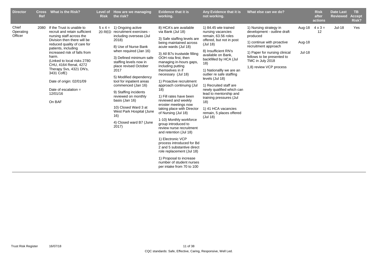| <b>Director</b>               | <b>Cross</b><br>Ref | What is the Risk?                                                                                                                                                                                                                                                                                                                                                                                  | <b>Risk</b> | Level of How are we managing<br>the risk?                                                                                                                                                                                                                                                                                                                                                                                                                                                   | <b>Evidence that it is</b><br>working.                                                                                                                                                                                                                                                                                                                                                                                                                                                                                                                                                                                                                                                                                                                                                 | Any Evidence that it is<br>not working.                                                                                                                                                                                                                                                                                                                                                                                                               | What else can we do?                                                                                                                                                                                                                  |                                   | <b>Risk</b><br>after<br>actions | <b>Date Last</b><br><b>Reviewed</b> | TB.<br><b>Accept</b><br><b>Risk?</b> |
|-------------------------------|---------------------|----------------------------------------------------------------------------------------------------------------------------------------------------------------------------------------------------------------------------------------------------------------------------------------------------------------------------------------------------------------------------------------------------|-------------|---------------------------------------------------------------------------------------------------------------------------------------------------------------------------------------------------------------------------------------------------------------------------------------------------------------------------------------------------------------------------------------------------------------------------------------------------------------------------------------------|----------------------------------------------------------------------------------------------------------------------------------------------------------------------------------------------------------------------------------------------------------------------------------------------------------------------------------------------------------------------------------------------------------------------------------------------------------------------------------------------------------------------------------------------------------------------------------------------------------------------------------------------------------------------------------------------------------------------------------------------------------------------------------------|-------------------------------------------------------------------------------------------------------------------------------------------------------------------------------------------------------------------------------------------------------------------------------------------------------------------------------------------------------------------------------------------------------------------------------------------------------|---------------------------------------------------------------------------------------------------------------------------------------------------------------------------------------------------------------------------------------|-----------------------------------|---------------------------------|-------------------------------------|--------------------------------------|
| Chief<br>Operating<br>Officer | 2080                | If the Trust is unable to<br>recruit and retain sufficient<br>nursing staff across the<br>Division then there will be<br>reduced quality of care for<br>patients, including<br>increased risk of falls from<br>harm.<br>(Linked to local risks 2780)<br>CHU, 4164 Renal, 4272<br>Therapy Svs, 4321 DN's,<br>3431 CofE)<br>Date of origin: 02/01/09<br>Date of escalation $=$<br>12/01/16<br>On BAF |             | $5 \times 4 = 1$ ) Ongoing active<br>20 RED recruitment exercises -<br>including overseas (Jul<br>2018)<br>8) Use of Nurse Bank<br>when required (Jan 16)<br>3) Defined minimum safe<br>staffing levels now in<br>place revised October<br>2017<br>5) Modified dependency<br>tool for inpatient areas<br>commenced (Jan 16)<br>9) Staffing incidents<br>reviewed on monthly<br>basis (Jan 16)<br>10) Closed Ward 3 at<br>West Park Hospital (June<br>16)<br>4) Closed ward B7 (June<br>2017 | 8) HCA's are available<br>via Bank (Jul 18)<br>3) Safe staffing levels are<br>being maintained across<br>acute wards (Jul 18)<br>3) All B7s trustwide filling<br>OOH rota first, then<br>managing in-hours gaps,<br>including putting<br>themselves in if<br>necessary (Jul 18)<br>1) Proactive recruitment<br>approach continuing (Jul<br>18)<br>1) Fill rates have been<br>reviewed and weekly<br>eroster meetings now<br>taking place with Director<br>of Nursing (Jul 18)<br>1-10) Monthly workforce<br>group introduced to<br>review nurse recruitment<br>and retention (Jul 18)<br>1) Electronic VCP<br>process introduced for Bd<br>2 and 5 substantive direct<br>role replacement (Jul 18)<br>1) Proposal to increase<br>number of student nurses<br>per intake from 70 to 100 | 1) 84.45 wte trained<br>nursing vacancies<br>remain, 63.56 roles<br>offered, but not in post<br>(Jul 18)<br>8) Insufficient RN's<br>available on Bank,<br>backfilled by HCA (Jul<br>(18)<br>1) Nationallly we are an<br>outlier re safe staffing<br>levels (Jul 18)<br>1) Recruited staff are<br>newly qualified which can<br>lead to mentorship and<br>training pressures (Jul<br>18)<br>1) 41 HCA vacancies<br>remain, 5 places offered<br>(Jul 18) | 1) Nursing strategy in<br>development - outline draft<br>produced<br>1) continue with proactive<br>recruitment approach<br>1) Paper for nursing clinical<br>fellows to be presented to<br>TMC in July 2018<br>1,8) review VCP process | Aug-18<br>Aug-18<br><b>Jul-18</b> | $4 \times 3 =$<br>12            | <b>Jul-18</b>                       | Yes                                  |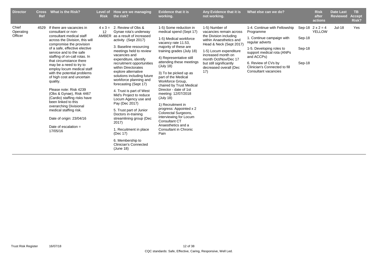| <b>Director</b>               | <b>Cross</b><br><b>Ref</b> | What is the Risk?                                                                                                                                                                                                                                                                                                                                                                                                                                                                                                                                                                                                                      | <b>Risk</b> | Level of How are we managing<br>the risk?                                                                                                                                                                                                                                                                                                                                                                                                                                                                                                                                                                                                                                      | <b>Evidence that it is</b><br>working.                                                                                                                                                                                                                                                                                                                                                                                                                                                                                                                                             | Any Evidence that it is<br>not working.                                                                                                                                                                                                                       | What else can we do?                                                                                                                                                                                                                                |                            | <b>Risk</b><br>after<br>actions          | <b>Date Last</b><br><b>Reviewed</b> | TB.<br><b>Accept</b><br>Risk? |
|-------------------------------|----------------------------|----------------------------------------------------------------------------------------------------------------------------------------------------------------------------------------------------------------------------------------------------------------------------------------------------------------------------------------------------------------------------------------------------------------------------------------------------------------------------------------------------------------------------------------------------------------------------------------------------------------------------------------|-------------|--------------------------------------------------------------------------------------------------------------------------------------------------------------------------------------------------------------------------------------------------------------------------------------------------------------------------------------------------------------------------------------------------------------------------------------------------------------------------------------------------------------------------------------------------------------------------------------------------------------------------------------------------------------------------------|------------------------------------------------------------------------------------------------------------------------------------------------------------------------------------------------------------------------------------------------------------------------------------------------------------------------------------------------------------------------------------------------------------------------------------------------------------------------------------------------------------------------------------------------------------------------------------|---------------------------------------------------------------------------------------------------------------------------------------------------------------------------------------------------------------------------------------------------------------|-----------------------------------------------------------------------------------------------------------------------------------------------------------------------------------------------------------------------------------------------------|----------------------------|------------------------------------------|-------------------------------------|-------------------------------|
| Chief<br>Operating<br>Officer | 4529                       | If there are vacancies in<br>consultant or non-<br>consultant medical staff<br>across the Division, this will<br>compromise the provision<br>of a safe, effective elective<br>service and to the safe<br>staffing of on-call rotas. In<br>that circumstance there<br>may be a need to try to<br>employ locum medical staff<br>with the potential problems<br>of high cost and uncertain<br>quality.<br>Please note: Risk 4239<br>(Obs & Gynae), Risk 4467<br>(Cardio) staffing risks have<br>been linked to this<br>overarching Divisional<br>medical staffing risk.<br>Date of origin: 23/04/16<br>Date of escalation $=$<br>17/05/16 | 12          | $4 \times 3 = 2$ . Review of Obs &<br>Gynae rota's underway<br>AMBER as a result of increased<br>activity (Sept 2017)<br>3. Baseline resourcing<br>meetings held to review<br>vacancies and<br>expenditure, identify<br>recruitment opportunities<br>within Directorates<br>explore alternative<br>solutions including future<br>workforce planning and<br>forecasting (Sept 17)<br>4. Trust is part of West<br>Mid's Project to reduce<br>Locum Agency use and<br>Pay (Dec 2017)<br>5. Trust part of Junior<br>Doctors in-training<br>streamlining group (Dec<br>2017)<br>1. Recuitment in place<br>(Dec 17)<br>6. Membership to<br><b>Clinician's Connected</b><br>(June 18) | 1-5) Some reduction in<br>medical spend (Sept 17)<br>1-5) Medical workforce<br>vacancy rate 11.53.<br>majority of these are<br>training grades (July 18)<br>4) Representative still<br>attending these meetings<br>(July 18)<br>3) To be picked up as<br>part of the Medical<br>Workforce Group,<br>chaired by Trust Medical<br>Director - date of 1st<br>meeting: 12/07/2018<br>(July 18)<br>1) Recruitment in<br>progress: Appointed x 2<br>Colorectal Surgeons,<br>interviewing for Locum<br><b>Consultant CT</b><br>Anaesthetics and a<br><b>Consultant in Chronic</b><br>Pain | 1-5) Number of<br>vacancies remain across<br>the Division including<br>within Anaesthetics and<br>Head & Neck (Sept 2017)<br>1-5) Locum expenditure<br>increased month on<br>month Oct/Nov/Dec 17<br>but still significantly<br>decreased overall (Dec<br>17) | 1-4. Continue with Fellowship<br>Programme<br>1. Continue campaign with<br>regular adverts<br>1-5. Developing roles to<br>support medical rota (ANPs)<br>and ACCPs)<br>6. Review of CVs by<br>Clinician's Connected to fill<br>Consultant vacancies | Sep-18<br>Sep-18<br>Sep-18 | Sep-18 $2 \times 2 = 4$<br><b>YELLOW</b> | $Jul-18$                            | Yes                           |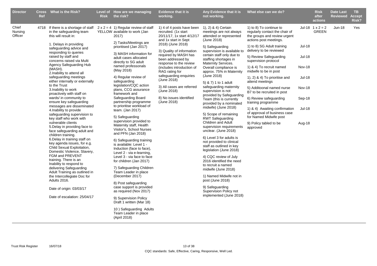| <b>Director</b>             | <b>Ref</b> | Cross What is the Risk?                                                                                                                                                                                                                                                                                                                                                                                                                                                                                                                                                                                                                                                                                                                                                                                                                                                                                                                                                                                                                                                                       | <b>Risk</b> | Level of How are we managing<br>the risk?                                                                                                                                                                                                                                                                                                                                                                                                                                                                                                                                                                                                                                                                                                                                                                                                                                                                                                                                                                                                             | <b>Evidence that it is</b><br>working.                                                                                                                                                                                                                                                                                                                                                                         | Any Evidence that it is<br>not working.                                                                                                                                                                                                                                                                                                                                                                                                                                                                                                                                                                                                                                                                                                                                                                                                                                                                                                             | What else can we do?                                                                                                                                                                                                                                                                                                                                                                                                                                                                                                                                                                |                                                                                                   | <b>Risk</b><br>after<br>actions  | <b>Date Last</b><br><b>Reviewed</b> | TB.<br><b>Accept</b><br>Risk? |
|-----------------------------|------------|-----------------------------------------------------------------------------------------------------------------------------------------------------------------------------------------------------------------------------------------------------------------------------------------------------------------------------------------------------------------------------------------------------------------------------------------------------------------------------------------------------------------------------------------------------------------------------------------------------------------------------------------------------------------------------------------------------------------------------------------------------------------------------------------------------------------------------------------------------------------------------------------------------------------------------------------------------------------------------------------------------------------------------------------------------------------------------------------------|-------------|-------------------------------------------------------------------------------------------------------------------------------------------------------------------------------------------------------------------------------------------------------------------------------------------------------------------------------------------------------------------------------------------------------------------------------------------------------------------------------------------------------------------------------------------------------------------------------------------------------------------------------------------------------------------------------------------------------------------------------------------------------------------------------------------------------------------------------------------------------------------------------------------------------------------------------------------------------------------------------------------------------------------------------------------------------|----------------------------------------------------------------------------------------------------------------------------------------------------------------------------------------------------------------------------------------------------------------------------------------------------------------------------------------------------------------------------------------------------------------|-----------------------------------------------------------------------------------------------------------------------------------------------------------------------------------------------------------------------------------------------------------------------------------------------------------------------------------------------------------------------------------------------------------------------------------------------------------------------------------------------------------------------------------------------------------------------------------------------------------------------------------------------------------------------------------------------------------------------------------------------------------------------------------------------------------------------------------------------------------------------------------------------------------------------------------------------------|-------------------------------------------------------------------------------------------------------------------------------------------------------------------------------------------------------------------------------------------------------------------------------------------------------------------------------------------------------------------------------------------------------------------------------------------------------------------------------------------------------------------------------------------------------------------------------------|---------------------------------------------------------------------------------------------------|----------------------------------|-------------------------------------|-------------------------------|
| Chief<br>Nursing<br>Officer |            | 4718 If there is a shortage of staff<br>in the safeguarding team<br>this will result in:<br>1. Delays in providing<br>safeguarding advice and<br>responding to queries<br>raised by staff and<br>concerns raised via Multi<br>Agency Safeguarding Hub<br>(MASH).<br>2. Inability to attend all<br>safeguarding meetings<br>either internally or externally<br>to the Trust<br>3. Inability to work<br>proactively with staff on<br>wards/ in community to<br>ensure key safeguarding<br>messages are disseminated<br>4. Inability to provide<br>safeguarding supervision to<br>key staff who work with<br>vulnerable clients<br>5. Delay in providing face to<br>face safeguarding adult and<br>children training.<br>6. Delay in training staff on<br>key agenda issues, for e.g.<br>Child Sexual Exploitation,<br>Domestic Violence, Slavery,<br>FGM and PREVENT<br>training. There is an<br>Inability to respond to<br>delivering Safeguarding<br>Adult Training as outlined in<br>the Intercollegiate Doc for<br>Adults 2016.<br>Date of origin: 03/03/17<br>Date of escalation: 25/04/17 |             | $2 \times 2 = 4$ 1) Regular review of staff<br>YELLOW available to work (Jan<br>2017)<br>2) Tasks/Meetings are<br>prioritised (Jan 2017)<br>3) MASH information for<br>adult cases allocated<br>directly to SG adult<br>named professonals<br>(May 2018)<br>4) Regular review of<br>safeguarding<br>legislation/CQC action<br>plans, CCG assurance<br>framework and<br>Safeguarding Board<br>partnership programme<br>to prioritise workload of<br>team. (Jan 2017)<br>5) Safeguarding<br>supervision provided to<br>Maternity staff, Health<br>Visitor's, School Nurses<br>and PFN (Jan 2018)<br>6) Safeguarding training<br>is available: Level 1 -<br>Induction (face to face),<br>Level 2 - via e-learning,<br>Level 3 - via face to face<br>for children (Jan 2017)<br>7) Safeguarding Children<br>Team Leader in place<br>(December 2017)<br>8) Post safeguarding<br>case support is provided<br>as required (Nov 2017)<br>9) Supervision Policy<br>Draft 1 written (Mar 18)<br>10) Safeguarding Adults<br>Team Leader in place<br>(April 2018) | 1) 4 of 4 posts have been<br>recruited. (1x start<br>20/11/17, 1x start 4/12/17<br>and 1x start in Sept<br>2018) (June 2018)<br>3) Quality of information<br>required by MASH has<br>been addressed by<br>response to the review<br>(includes introduction of<br>RAG rating for<br>safeguarding enquiries<br>(June 2018)<br>3) All cases are referred<br>(June 2018)<br>8) No issues identified<br>(June 2018) | 1), 2) & 4) Certain<br>meetings are not always<br>attended or represented<br>(June 2018)<br>5) Safeguarding<br>supervision is available to<br>certain staff only due to<br>staffing shortages in<br>Maternity Services.<br>Overall compliance is<br>approx. 75% in Maternity<br>(June 2018)<br>5) & 7) 1 to 1 adult<br>safeguarding maternity<br>supervision is not<br>provided by Safeguarding<br>Team (this is currently<br>provided by a nominated<br>midwife) (June 2018)<br>5) Scope of remaining<br><b>RWT Safeguarding</b><br>Children and Adult<br>supervision requirements<br>unclear. (June 2018)<br>6) Level 3 for adults is<br>not provided to clinical<br>staff as outlined in key<br>legislation (June 2018)<br>4) CQC review of July<br>2016 identified the need<br>to recruit a named<br>midwife (June 2018)<br>1) Named Midwife not in<br>post (June 2018)<br>9) Safeguarding<br>Supervision Policy not<br>implemented (June 2018) | 1) to 8) To continue to<br>regularly contact the chair of<br>the groups and review urgent<br>actions post meetings.<br>1) to 8) SG Adult training<br>delivery to be reviewed<br>5) Review Safeguarding<br>supervision protocol<br>1) & 4) To recruit named<br>midwife to be in post<br>1), 2) & 4) To prioritise and<br>attend meetings<br>5) Additoonal named nurse<br>B7 to be recruited in post<br>6) Review safeguarding<br>training programme<br>1) & 4) Awaiting confirmation<br>of approval of business case<br>for Named Midwife post<br>9) Policy tabled to be<br>approved | <b>Jul-18</b><br>Jul-18<br>Nov-18<br><b>Jul-18</b><br>Nov-18<br>Sep-18<br><b>Jul-18</b><br>Aug-18 | Jul-18 $1 \times 2 = 2$<br>GREEN | <b>Jun-18</b>                       | Yes                           |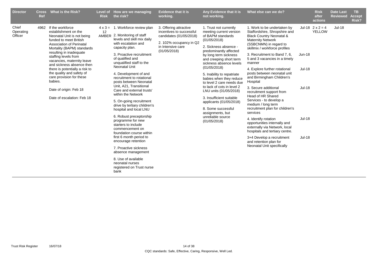| <b>Director</b>               | <b>Cross</b><br>Ref | What is the Risk?                                                                                                                                                                                                                                                                                                                                                                                                                      | <b>Risk</b> | Level of How are we managing<br>the risk?                                                                                                                                                                                                                                                                                                                                                                                                                                                                                                                                                                                                                                                                                                                                                                    | <b>Evidence that it is</b><br>working.                                                                                                        | Any Evidence that it is<br>not working.                                                                                                                                                                                                                                                                                                                                                                                                                                                                                      | What else can we do?                                                                                                                                                                                                                                                                                                                                                                                                                                                                                                                                                                                                                                                                                                                                                    |                                                                            | <b>Risk</b><br>after<br>actions          | <b>Date Last</b><br><b>Reviewed</b> | <b>TB</b><br><b>Accept</b><br>Risk? |
|-------------------------------|---------------------|----------------------------------------------------------------------------------------------------------------------------------------------------------------------------------------------------------------------------------------------------------------------------------------------------------------------------------------------------------------------------------------------------------------------------------------|-------------|--------------------------------------------------------------------------------------------------------------------------------------------------------------------------------------------------------------------------------------------------------------------------------------------------------------------------------------------------------------------------------------------------------------------------------------------------------------------------------------------------------------------------------------------------------------------------------------------------------------------------------------------------------------------------------------------------------------------------------------------------------------------------------------------------------------|-----------------------------------------------------------------------------------------------------------------------------------------------|------------------------------------------------------------------------------------------------------------------------------------------------------------------------------------------------------------------------------------------------------------------------------------------------------------------------------------------------------------------------------------------------------------------------------------------------------------------------------------------------------------------------------|-------------------------------------------------------------------------------------------------------------------------------------------------------------------------------------------------------------------------------------------------------------------------------------------------------------------------------------------------------------------------------------------------------------------------------------------------------------------------------------------------------------------------------------------------------------------------------------------------------------------------------------------------------------------------------------------------------------------------------------------------------------------------|----------------------------------------------------------------------------|------------------------------------------|-------------------------------------|-------------------------------------|
| Chief<br>Operating<br>Officer | 4962                | If the workforce<br>establishment on the<br>Neonatal Unit is not being<br>funded to meet British<br>Association of Perinatal<br>Mortality (BAPM) standards<br>resulting in inadequate<br>staffing levels from<br>vacancies, maternity leave<br>and sickness absence then<br>there is potentially a risk to<br>the quality and safety of<br>care provision for these<br>babies.<br>Date of origin: Feb 18<br>Date of escalation: Feb 18 | 12          | $4 \times 3 = 1$ . Workforce review plan<br>AMBER 2. Monitoring of staff<br>levels and skill mix daily<br>with escalation and<br>capacity plan.<br>3. Proactive recruitment<br>of qualified and<br>unqualified staff to the<br><b>Neonatal Unit</b><br>4. Development of and<br>recruitment to rotational<br>posts between Neonatal<br>Unit, A21, Transitional<br>Care and external trusts'<br>within the Network<br>5. On-going recruitment<br>drive by tertiary children's<br>hospital and local LNU<br>6. Robust preceptorship<br>programme for new<br>starters to include<br>commencement on<br>foundation course within<br>first 6 month period to<br>encourage retention<br>7. Proactive sickness<br>absence management<br>8. Use of available<br>neonatal nurses<br>registered on Trust nurse<br>bank | 3. Offering attractive<br>incentives to successful<br>candidates (01/05/2018)<br>2. 102% occupancy in Q2<br>in Intensive care<br>(01/05/2018) | 1. Trust not currently<br>meeting current version<br>of BAPM standards<br>(01/05/2018)<br>2. Sickness absence -<br>predominantly affected<br>by long term sickness<br>and creeping short term<br>sickness absence levels<br>(01/05/2018)<br>5. Inability to repatriate<br>babies when they reduce<br>to level 2 care needs due<br>to lack of cots in level 2<br>LNU units (01/05/2018)<br>3. Insufficient suitable<br>applicants (01/05/2018)<br>8. Some successful<br>assignments, but<br>unreliable source<br>(01/05/2018) | 1. Work to be undertaken by<br>Staffordshire, Shropshire and<br><b>Black Country Neonatal &amp;</b><br><b>Maternity Network</b><br>(SSBCNMN) in regard to<br>skillmix / workforce profiles<br>3. Recruitment to Band 7, 6,<br>5 and 3 vacancies in a timely<br>manner<br>4. Explore further rotational<br>posts between neonatal unit<br>and Birmingham Children's<br>Hospital<br>3. Secure additional<br>recruitment support from<br>Head of HR Shared<br>Services - to develop a<br>medium / long term<br>recruitment plan for children's<br>services<br>4. Identify rotation<br>opportunities internally and<br>externally via Network, local<br>hospitals and tertiary centre.<br>3+4 Develop a recruitment<br>and retention plan for<br>Neonatal Unit specifically | Jun-18<br><b>Jul-18</b><br><b>Jul-18</b><br><b>Jul-18</b><br><b>Jul-18</b> | Jul-18 $2 \times 2 = 4$<br><b>YELLOW</b> | <b>Jul-18</b>                       |                                     |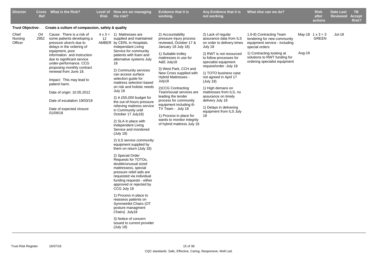| <b>Director</b>             | <b>Ref</b> | Cross What is the Risk?                                                                                                            | Level of<br><b>Risk</b> | How are we managing<br>the risk?                                                                                                                                                                                       | <b>Evidence that it is</b><br>working.                                                        | Any Evidence that it is<br>not working.                                                              | What else can we do?                                                                                      |        | <b>Risk</b><br>after<br>actions         | <b>Date Last</b><br><b>Reviewed</b> | <b>TB</b><br><b>Accept</b><br>Risk? |
|-----------------------------|------------|------------------------------------------------------------------------------------------------------------------------------------|-------------------------|------------------------------------------------------------------------------------------------------------------------------------------------------------------------------------------------------------------------|-----------------------------------------------------------------------------------------------|------------------------------------------------------------------------------------------------------|-----------------------------------------------------------------------------------------------------------|--------|-----------------------------------------|-------------------------------------|-------------------------------------|
| <b>Trust Objective:</b>     |            | Create a culture of compassion, safety & quality                                                                                   |                         |                                                                                                                                                                                                                        |                                                                                               |                                                                                                      |                                                                                                           |        |                                         |                                     |                                     |
| Chief<br>Nursing<br>Officer | O4<br>2952 | Cause: There is a risk of<br>some patients developing a<br>pressure ulcer/s due to<br>delays in the ordering of<br>equipment, poor | 12                      | $4 \times 3 = 1$ ) Mattresses are<br>supplied and maintained<br>AMBER by CERL in Hospitals.<br>Independant Living<br>Service for community                                                                             | 2) Accountability<br>pressure injury process<br>reviewed, October 17 &<br>January 18 July 18) | 2) Lack of regular<br>assurance data from ILS<br>on order to delivery times<br>July 18               | 1.6-8) Contracting Team<br>tendering for new community<br>equipment service - including<br>special orders |        | May-18 $1 \times 3 = 3$<br><b>GREEN</b> | <b>Jul-18</b>                       |                                     |
|                             |            | information and instruction<br>due to significant service<br>under-performance. CCG<br>proposing monthly contract                  |                         | patients with foam and<br>alternative systems July<br>18                                                                                                                                                               | 1) Suitable trolley<br>mattresses in use for<br>A&E July18                                    | 2) RWT is not resourced<br>to follow processes for<br>specialist equipment<br>request/order -July 18 | 1) Contracting looking at<br>solutions to RWT funding for<br>ordering specialist equipment                | Aug-18 |                                         |                                     |                                     |
|                             |            | renewal from June 18.<br>Impact: This may lead to                                                                                  |                         | 2) Community services<br>can access surface<br>selection guide for<br>mattress selection based                                                                                                                         | 3) West Park, CCH and<br>New Cross supplied with<br><b>Hybrid Mattresses -</b><br>July18      | 1) TOTO business case<br>not agreed in April 17<br>(July 18)                                         |                                                                                                           |        |                                         |                                     |                                     |
|                             |            | patient harm.<br>Date of origin: 10.05.2012                                                                                        |                         | on risk and holistic needs<br>July 18                                                                                                                                                                                  | 2)CCG Contracting<br>Team/souial services are                                                 | 1) High demans on<br>mattresses from ILS, no                                                         |                                                                                                           |        |                                         |                                     |                                     |
|                             |            | Date of escalation 19/03/18                                                                                                        |                         | 2) A £55,000 budget for<br>the out-of-hours pressure                                                                                                                                                                   | leading the tender<br>process for community                                                   | assurance on timely<br>delivery July 18                                                              |                                                                                                           |        |                                         |                                     |                                     |
|                             |            | Date of expected closure<br>01/09/18                                                                                               |                         | relieving mattress service<br>in Community until                                                                                                                                                                       | equipment including th<br>TV Team - July 18                                                   | 1) Delays in delivering<br>equipment from ILS July                                                   |                                                                                                           |        |                                         |                                     |                                     |
|                             |            |                                                                                                                                    |                         | October 17 July18)<br>2) SLA in place with<br>Independent Living<br>Service and monitored<br>(July 18)                                                                                                                 | 1) Process in place for<br>wards to monitor integrity<br>of hybrid mattress July 18           | 18                                                                                                   |                                                                                                           |        |                                         |                                     |                                     |
|                             |            |                                                                                                                                    |                         | 2) ILS service community<br>equipment supplied by<br>them on return (July 18)                                                                                                                                          |                                                                                               |                                                                                                      |                                                                                                           |        |                                         |                                     |                                     |
|                             |            |                                                                                                                                    |                         | 2) Special Order<br>Requests for TOTOs,<br>double/unusual sized<br>mattressess, special<br>pressure relief aids are<br>requested via individual<br>funding requests - either<br>approved or rejected by<br>CCG July 18 |                                                                                               |                                                                                                      |                                                                                                           |        |                                         |                                     |                                     |
|                             |            |                                                                                                                                    |                         | 1) Process in place to<br>reassess patients on<br>Symmetrikit Chairs (OT<br>posture managment<br>Chairs) July18                                                                                                        |                                                                                               |                                                                                                      |                                                                                                           |        |                                         |                                     |                                     |
|                             |            |                                                                                                                                    |                         | 3) Notice of concern<br>issued to current provider<br>(July 18)                                                                                                                                                        |                                                                                               |                                                                                                      |                                                                                                           |        |                                         |                                     |                                     |
|                             |            |                                                                                                                                    |                         |                                                                                                                                                                                                                        |                                                                                               |                                                                                                      |                                                                                                           |        |                                         |                                     |                                     |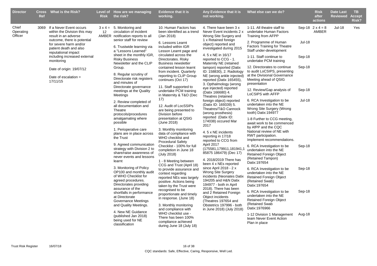| <b>Director</b>               | <b>Ref</b> | Cross What is the Risk?                                                                                             | <b>Risk</b> | Level of How are we managing<br>the risk?                                                                                                                | <b>Evidence that it is</b><br>working.                                                                                                                                               | Any Evidence that it is<br>not working.                                                                                                                | What else can we do?                                                                                                                      |               | <b>Risk</b><br>after<br>actions         | <b>Date Last</b><br><b>Reviewed</b> | TB.<br><b>Accept</b><br>Risk? |
|-------------------------------|------------|---------------------------------------------------------------------------------------------------------------------|-------------|----------------------------------------------------------------------------------------------------------------------------------------------------------|--------------------------------------------------------------------------------------------------------------------------------------------------------------------------------------|--------------------------------------------------------------------------------------------------------------------------------------------------------|-------------------------------------------------------------------------------------------------------------------------------------------|---------------|-----------------------------------------|-------------------------------------|-------------------------------|
| Chief<br>Operating<br>Officer |            | 3069 If a Never Event occurs<br>within the Division this may<br>result in an adverse<br>outcome, there is potential | 12          | $3 \times 4 = 5$ . Monitoring and<br>circulation of incident<br>AMBER notification reports to all<br>senior staff for review                             | 10. Human Factors has<br>been identified as a trend<br>(Jan 2018)                                                                                                                    | 4. There have been 3 x<br>Never Event incidents 2 x<br>Wrong Site Surgery and<br>1 x Retained foreign                                                  | 1-11. All theatre staff to<br>undertake Human Factors<br><b>Training from AFPP</b>                                                        |               | Sep-18 $2 \times 4 = 8$<br><b>AMBER</b> | <b>Jul-18</b>                       | Yes                           |
|                               |            | for severe harm and/or<br>patient death and also<br>reputational impact                                             |             | 6. Trustwide learning via<br>a "Lessons Learned"                                                                                                         | 6. Lessons Learnt<br>included within IGR<br>Lesson Learnt page and                                                                                                                   | object) reported and<br>investigated during 2015                                                                                                       | 2. Programme of Human<br><b>Factors Training for Theatre</b><br>Staff under-development                                                   | <b>Jul-18</b> |                                         |                                     |                               |
|                               |            | including increased external<br>monitoring                                                                          |             | sheet in the monthly IGR,<br><b>Risky Business</b><br>Newsletter and the CLIP                                                                            | circulated across the<br>Directorates. Risky<br><b>Business newsletter</b>                                                                                                           | 4. 5 x NE in 16/17<br>reported to CCG - 1.<br>Maternity NE (retained                                                                                   | 1-11. Staff continue to<br>undertake PCM training                                                                                         | Sep-18        |                                         |                                     |                               |
|                               |            | Date of origin: 19/07/12<br>Date of escalation $=$<br>17/11/15                                                      |             | Group.<br>8. Regular scrutiny of<br>Directorate risk registers<br>and minutes of                                                                         | contained lesson learnt<br>from incident. Quarterly<br>reporting to CLIP Group<br>continues (Oct 17)                                                                                 | tampon) reported (Datix<br>ID: 158830), 2. Radiology<br>NE (wrong ankle injected)<br>reported (Datix 165455),<br>3. Opthalmology (wrong                | 12. Directorates to continue<br>to audit LoCSIPS, presenting<br>at the Divisional Governance<br>Meeting ahead of QSIG<br>presentation     | Sep-18        |                                         |                                     |                               |
|                               |            |                                                                                                                     |             | Directorate governance<br>meetings at the Quality<br>Meetings                                                                                            | 11. Staff supported to<br>undertake PCM training<br>in Maternity & T&O (Dec                                                                                                          | eye injected) reported<br>(Datix 166680) 4.<br>Theatres (retained                                                                                      | 12. Review/Gap analysis of<br>LoCSIPS with AFFP                                                                                           | Sep-18        |                                         |                                     |                               |
|                               |            |                                                                                                                     |             | 2. Review completed of<br>all documentation and<br>Theatre<br>protocols/procedures                                                                       | 17)<br>12. Audit of LocSSIPs<br>are being presented to<br>Division before                                                                                                            | foreign object) reported<br>(Datix ID: 169339) 5.<br>Theatres/T&O Cannock<br>(wrong prosthesis)                                                        | 6. RCA Investigation to be<br>undertaken into the NE<br>Wrong Site Surgery (Wrong<br>tooth) Datix: 194977                                 | <b>Jul-18</b> |                                         |                                     |                               |
|                               |            |                                                                                                                     |             | amalgamating where<br>possible<br>1. Perioperative care                                                                                                  | presentation at QSIG<br>(June 2018)<br>3. Monthly monitoring                                                                                                                         | reported (Datix ID:<br>174038) occured Mar<br>2017<br>4.5 x NE incidents                                                                               | 1-8 Further to CCG meeting,<br>await work to be commenced<br>by AfPP and the CQC<br>National review of NE with                            |               |                                         |                                     |                               |
|                               |            |                                                                                                                     |             | plans are in place across<br>the Trust                                                                                                                   | data of compliance with<br>WHO checklist and<br><b>Procedural Safety</b>                                                                                                             | reporting in 17/18<br>reported to CCG from                                                                                                             | RWT participation.<br>Implement recommendations.                                                                                          |               |                                         |                                     |                               |
|                               |            |                                                                                                                     |             | 9. Agreed communication<br>strategy with Division 2 to<br>share/raise awareness of<br>never events and lessons                                           | Checklist - 100% for full<br>completion in June 18<br>(July 2018)                                                                                                                    | April 2017<br>(175581,179911,181941,1<br>85875 186479) (Dec 17)<br>4. 2018/2019 There has                                                              | 6. RCA Investigation to be<br>undertaken into the NE<br><b>Retained Foreign Object</b><br>(Retained Tampon)                               | Sep-18        |                                         |                                     |                               |
|                               |            |                                                                                                                     |             | learnt<br>3. Monitoring of Policy<br>OP100 and monthly audit<br>of WHO Checklist for<br>agreed procedures.<br>Directorates providing<br>assurance of the | 1 - 8 Meeting between<br>CCG and Trust (April 18)<br>to provide assurance and<br>context regarding<br>reported NEs was largely<br>positive. Actions being<br>taken by the Trust were | been 4 x NEs reported<br>since April 2018 - $2 x$<br>Wrong Site Surgery<br>incidents (Neonates Datix<br>194205 and H&N Datix<br>194977 - both in April | Datix:197654<br>6. RCA Investigation to be<br>undertaken into the NE<br><b>Retained Foreign Object</b><br>(Retained Swab)<br>Datix:197654 | Sep-18        |                                         |                                     |                               |
|                               |            |                                                                                                                     |             | shortfalls in performance<br>at Directorate<br>Governance Meetings<br>and Quality Meetings.                                                              | recognised to be<br>proportionate and timely<br>in response. (June 18)<br>3. Monthly monitoring<br>and compliance with                                                               | 2018). There has been<br>and 2 Retained Foreign<br>Object incidents<br>(Theatres 197654 and<br>Obstetrics 197996 - both<br>in June 2018) (July 2018)   | 6. RCA Investigation to be<br>undertaken into the NE<br><b>Retained Foreign Object</b><br>(Retained Swab<br>Datix:1976966                 | Sep-18        |                                         |                                     |                               |
|                               |            |                                                                                                                     |             | 4. New NE Guidance<br>(published Jan 2018)<br>being used for NE<br>classification                                                                        | WHO checklist use -<br>There has been 100%<br>compliance achieved<br>during June 18 (July 18)                                                                                        |                                                                                                                                                        | 1-12 Division 1 Management<br>team Never Event Action<br>Plan in place                                                                    | Aug-18        |                                         |                                     |                               |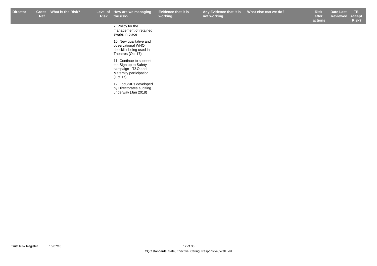| <b>Director</b> | <b>Cross</b><br>Ref | <b>What is the Risk?</b> | Level of<br><b>Risk</b> | How are we managing<br>the risk?                                                                              | <b>Evidence that it is</b><br>working. | Any Evidence that it is<br>not working. | What else can we do? | <b>Risk</b><br>after<br>actions | <b>Date Last</b><br><b>Reviewed</b> | TB.<br>Accept<br>Risk? |
|-----------------|---------------------|--------------------------|-------------------------|---------------------------------------------------------------------------------------------------------------|----------------------------------------|-----------------------------------------|----------------------|---------------------------------|-------------------------------------|------------------------|
|                 |                     |                          |                         | 7. Policy for the<br>management of retained<br>swabs in place                                                 |                                        |                                         |                      |                                 |                                     |                        |
|                 |                     |                          |                         | 10. New qualitative and<br>observational WHO<br>checklist being used in<br>Theatres (Oct 17)                  |                                        |                                         |                      |                                 |                                     |                        |
|                 |                     |                          |                         | 11. Continue to support<br>the Sign up to Safety<br>campaign - T&O and<br>Maternity participation<br>(Oct 17) |                                        |                                         |                      |                                 |                                     |                        |
|                 |                     |                          |                         | 12. LocSSIPs developed<br>by Directorates auditing<br>underway (Jan 2018)                                     |                                        |                                         |                      |                                 |                                     |                        |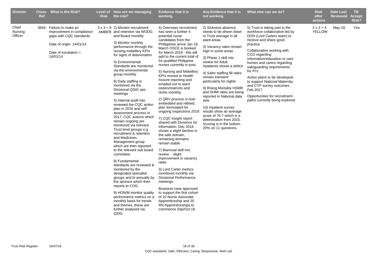| <b>Director</b>             | <b>Ref</b> | Cross What is the Risk?                                                                                                                            | <b>Risk</b> | Level of How are we managing<br>the risk?                                                                                                                                                                                                                                                                                                                                                                                                                                                                                                                                                                                                                                                                                                                                                                                                                                                                                                                                                                                                          | <b>Evidence that it is</b><br>working.                                                                                                                                                                                                                                                                                                                                                                                                                                                                                                                                                                                                                                                                                                                                                                                                                                                                                                                                                                                               | Any Evidence that it is<br>not working.                                                                                                                                                                                                                                                                                                                                                                                                                                                                                                                        | What else can we do?                                                                                                                                                                                                                                                                                                                                                                                                                                                   | <b>Risk</b><br>after<br>actions   | <b>Date Last</b><br><b>Reviewed</b> | <b>TB</b><br><b>Accept</b><br>Risk? |
|-----------------------------|------------|----------------------------------------------------------------------------------------------------------------------------------------------------|-------------|----------------------------------------------------------------------------------------------------------------------------------------------------------------------------------------------------------------------------------------------------------------------------------------------------------------------------------------------------------------------------------------------------------------------------------------------------------------------------------------------------------------------------------------------------------------------------------------------------------------------------------------------------------------------------------------------------------------------------------------------------------------------------------------------------------------------------------------------------------------------------------------------------------------------------------------------------------------------------------------------------------------------------------------------------|--------------------------------------------------------------------------------------------------------------------------------------------------------------------------------------------------------------------------------------------------------------------------------------------------------------------------------------------------------------------------------------------------------------------------------------------------------------------------------------------------------------------------------------------------------------------------------------------------------------------------------------------------------------------------------------------------------------------------------------------------------------------------------------------------------------------------------------------------------------------------------------------------------------------------------------------------------------------------------------------------------------------------------------|----------------------------------------------------------------------------------------------------------------------------------------------------------------------------------------------------------------------------------------------------------------------------------------------------------------------------------------------------------------------------------------------------------------------------------------------------------------------------------------------------------------------------------------------------------------|------------------------------------------------------------------------------------------------------------------------------------------------------------------------------------------------------------------------------------------------------------------------------------------------------------------------------------------------------------------------------------------------------------------------------------------------------------------------|-----------------------------------|-------------------------------------|-------------------------------------|
| Chief<br>Nursing<br>Officer |            | 3644 Failure to make an<br>improvement in compliance<br>gaps with CQC standards.<br>Date of origin: 14/01/14<br>Date of escalation $=$<br>14/01/14 |             | $3 \times 3 = 9$ 2) Monitor recruitment<br>AMBER and retention via WODG<br>and Board monthly<br>3) Monitor monthly<br>performance through the<br>nursing midwifery KPIs<br>for signs of deterioration<br>4) Environmental<br>Standards are monitored<br>via the environmental<br>group monthly<br>6) Daily staffing is<br>monitored via the<br>Divisional QSIG ops<br>meetings<br>5) Internal audit has<br>reviewed the CQC action<br>plan in 2016 and self<br>assessment process in<br>2017. CQC actions which<br>remain ongoing are<br>monitored via relevant<br>Trust level groups e.g<br>recruitment & retention<br>and Medicines<br>Management group<br>which are then reported<br>to the relevant sub board<br>committee.<br>8) Fundamental<br>standards are reviewed &<br>monitored by the<br>designated specialist<br>groups and bi annually by<br>the sponsor which then<br>reports to COG.<br>9) HON/M monitor quality<br>performance metrics on a<br>monthly basis for trends<br>and themes, these are<br>further analysed via<br>QSIG. | 4) Overseas recruitment<br>has seen a further 4<br>potential nurse<br>candidates from the<br>Philippines arrive Jan 18,<br>March OSCE is booked<br>for March 2018 - this will<br>add to the current total of<br>54 qualified Philippine<br>nurses currently in post.<br>5) Nursing and Midwifery<br>KPIs moved to Health<br>Assure reporting and<br>emailed out to ward<br>sisters/matrons and<br>HoNs monthly.<br>2) QRV process is now<br>embedded and refined,<br>plan formulated for<br>ongoing inspections 2018<br>7) CQC insight report<br>shared with Divisions for<br>information, Dec 2018<br>shows a slight decline in<br>the safe domain,<br>remaining domains<br>remain stable<br>7) Biannual skill mix<br>review - slight<br>improvement in vacancy<br>rates<br>3) Lord Carter metrics<br>monitored monthly via<br><b>Divisional Performance</b><br>meetings<br>Business case approved<br>to support the first cohort<br>of 10 Nurse Associate<br>Apprenticeship and 20<br>RN Apprenticeships to<br>commence Sep/Oct 18 | 2) Sickness absence<br>needs to be driven down<br>to Trust average in all<br>ward areas.<br>3) Vacancy rates remain<br>high in some areas<br>3) Phase 1 skill mix<br>review for Adult<br>inpatients shows a deficit<br>4) Safer staffing fill rates<br>remain transient<br>particularly for nights<br>9) Rising Mortality HSMR<br>and SHMI rates are being<br>reported in National data<br>sets<br>10) Inpatient survey<br>results show an average<br>score of 76.7 which is a<br>deterioration from 2015.<br>Scoring is in the bottom<br>20% on 11 questions. | 5) Trust is taking part in the<br>workforce collaborative led by<br>DOH (Lord Carters team) to<br>receive and share good<br>practice<br>Collaborative working with<br>CCG regarding<br>information/education to care<br>homes and carers regarding<br>safeguarding requirements<br>for PI's<br>Action plans to be developed<br>to support National Maternity<br>and CYP survey outcomes<br>Feb 2017<br>Opportunities for recruitment<br>paths currently being explored | $2 \times 2 = 4$<br><b>YELLOW</b> | May-18                              | Yes                                 |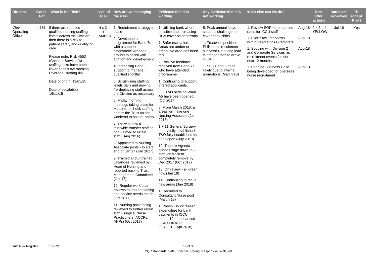| <b>Director</b>               | <b>Ref</b> | Cross What is the Risk?                                                                                                                                                                                                                                                                                                                                           | <b>Risk</b> | Level of How are we managing<br>the risk?                                                                                                                                                                                                                                                                                                                                                                                                                                                                                                                                                                                                                                                                                                                                                                                                                                                                                                                                                                                                                                                       | <b>Evidence that it is</b><br>working.                                                                                                                                                                                                                                                                                                                                                                                                                                                                                                                                                                                                                                                                                                                                                                                                                                                                                                                                                                  | Any Evidence that it is<br>not working.                                                                                                                                                                                                                              | What else can we do?                                                                                                                                                                                                                                                                                            |                            | <b>Risk</b><br>after<br>actions          | <b>Date Last</b><br><b>Reviewed</b> | <b>TB</b><br><b>Accept</b><br>Risk? |
|-------------------------------|------------|-------------------------------------------------------------------------------------------------------------------------------------------------------------------------------------------------------------------------------------------------------------------------------------------------------------------------------------------------------------------|-------------|-------------------------------------------------------------------------------------------------------------------------------------------------------------------------------------------------------------------------------------------------------------------------------------------------------------------------------------------------------------------------------------------------------------------------------------------------------------------------------------------------------------------------------------------------------------------------------------------------------------------------------------------------------------------------------------------------------------------------------------------------------------------------------------------------------------------------------------------------------------------------------------------------------------------------------------------------------------------------------------------------------------------------------------------------------------------------------------------------|---------------------------------------------------------------------------------------------------------------------------------------------------------------------------------------------------------------------------------------------------------------------------------------------------------------------------------------------------------------------------------------------------------------------------------------------------------------------------------------------------------------------------------------------------------------------------------------------------------------------------------------------------------------------------------------------------------------------------------------------------------------------------------------------------------------------------------------------------------------------------------------------------------------------------------------------------------------------------------------------------------|----------------------------------------------------------------------------------------------------------------------------------------------------------------------------------------------------------------------------------------------------------------------|-----------------------------------------------------------------------------------------------------------------------------------------------------------------------------------------------------------------------------------------------------------------------------------------------------------------|----------------------------|------------------------------------------|-------------------------------------|-------------------------------------|
| Chief<br>Operating<br>Officer | 4161       | If there are reduced<br>qualified nursing staffing<br>levels across the Division<br>then there is a risk to<br>patient safety and quality of<br>care.<br>Please note: Risk 4553<br>(Children Services's)<br>staffing risks have been<br>linked to this overarching<br>Divisional staffing risk.<br>Date of origin: 13/05/15<br>Date of escalation $=$<br>18/11/15 | 12<br>AMBER | $4 \times 3 = 1$ . Recruitment strategy in<br>place<br>2. Developed a<br>programme for Band 7s<br>with a support<br>programme wrapped<br>around to assist with<br>attrition and development<br>4. Increasing Band 2<br>support to manage<br>qualified shortfall<br>5. Scrutinising staffing<br>levels daily and moving<br>/re-deploying staff across<br>the Division as necessary<br>6. Friday morning<br>meetings taking place for<br>Matrons to check staffing<br>across the Trust for the<br>weekend to assure safety<br>7. There is now a<br>trustwide transfer staffing<br>pool (aimed to retain<br>staff) (Aug 2016)<br>8. Appointed to Nursing<br>Associate posts - to start<br>end of Jan 17 (Jan 2017)<br>9. Trained and untrained<br>vacancies reviewed by<br>Head of Nursing and<br>reported back to Trust<br><b>Management Committee</b><br>(Oct 17)<br>10. Regular workforce<br>reviews to ensure staffing<br>and service needs match<br>(Oct 2017)<br>11. Nursing posts being<br>reviewed to further retain<br>staff (Surgical Nurse<br>Practitioners, ACCPs,<br>ANPs) (Oct 2017) | 1. Utilising bank where<br>possible and increasing<br>HCA cover as necessary<br>7. Safer escalation -<br>Areas are amber or<br>green. No area has been<br>red.<br>2. Positive feedback<br>received from Band 7s<br>who have attended<br>programme<br>1. Continuing to support<br>offered applicants.<br>3.5 T&O beds on Ward<br>A5 have been opened<br>(Oct 2017)<br>8. From March 2018, all<br>areas will have one<br>Nursing Associate (Jan<br>2018)<br>1 + 11. General Surgery<br>nearly fully established,<br>T&O fully established for<br>beds open (July 2018)<br>12. Theatre Agenda<br>spend usage down to 2<br>staff, on track to<br>completely remove by<br>Dec 2017 (Oct 2017)<br>13. On review - all green<br>now $(Jan 18)$<br>14. Continuting to recuit<br>new areas (Jan 2018)<br>1. Recruited to<br><b>Consultant Nurse post</b><br>(March 18)<br>1. Previoulsy increased<br>expenditure for bank<br>payments in ICCU,<br>month 12 no enhanced<br>payments since<br>2/04/2018 (Apr 2018) | 5. Peak annual leave<br>seasons challenge to<br>cover bank shifts.<br>1. Trustwide position:<br>Philippines recuitment<br>successful but long lead<br>in time for staff to arrive<br>in UK<br>1. SEU Band 5 gaps<br>lilkely due to internal<br>promotions (March 18) | 1. Review SOP for enhanced<br>rates for ICCU staff<br>1. Pilot 'Stay' Interviews<br>within Paediatrics Directorate<br>1. Scoping with Division 2<br>and Corporate Services re:<br>recruitment events for the<br>next 12 months<br>1. Pending Business Case<br>being developed for overseas<br>nurse recruitment | Aug-18<br>Aug-18<br>Aug-18 | Aug-18 $2 \times 2 = 4$<br><b>YELLOW</b> | <b>Jul-18</b>                       | Yes                                 |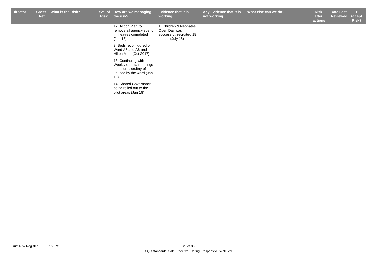| <b>Director</b> | <b>Cross</b><br>Ref | What is the Risk? | <b>Risk</b> | Level of How are we managing<br>the risk?                                                                 | <b>Evidence that it is</b><br>working.                                                 | Any Evidence that it is<br>not working. | What else can we do? | <b>Risk</b><br>after<br>actions | <b>Date Last</b><br>Reviewed | TB.<br><b>Accept</b><br>Risk? |
|-----------------|---------------------|-------------------|-------------|-----------------------------------------------------------------------------------------------------------|----------------------------------------------------------------------------------------|-----------------------------------------|----------------------|---------------------------------|------------------------------|-------------------------------|
|                 |                     |                   |             | 12. Action Plan to<br>remove all agency spend<br>in theatres completed<br>(Jan 18)                        | 1. Children & Neonates<br>Open Day was<br>successful, recruited 18<br>nurses (July 18) |                                         |                      |                                 |                              |                               |
|                 |                     |                   |             | 3. Beds reconfigured on<br>Ward A5 and A6 and<br>Hilton Main (Oct 2017)                                   |                                                                                        |                                         |                      |                                 |                              |                               |
|                 |                     |                   |             | 13. Continuing with<br>Weekly e-rosta meetings<br>to ensure scruitny of<br>unused by the ward (Jan<br>18) |                                                                                        |                                         |                      |                                 |                              |                               |
|                 |                     |                   |             | 14. Shared Governance<br>being rolled out to the<br>pilot areas (Jan 18)                                  |                                                                                        |                                         |                      |                                 |                              |                               |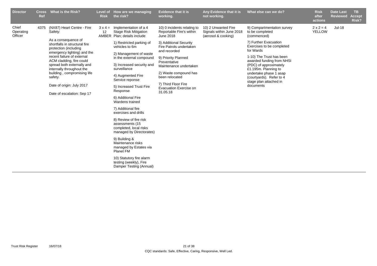| <b>Director</b>               | <b>Cross</b><br>Ref | What is the Risk?                                                                                                                                                                                                                                                                                                                                                               | <b>Risk</b> | Level of How are we managing<br>the risk?                                                                                                                                                                                                                                                                                                                                                                                                            | <b>Evidence that it is</b><br>working.                                                                                                                                                                                                                                                                                    | Any Evidence that it is<br>not working.                                | What else can we do?                                                                                                                                                                                                                                                                                                                    | <b>Risk</b><br>after<br>actions   | <b>Date Last</b><br><b>Reviewed</b> | <b>TB</b><br><b>Accept</b><br>Risk? |
|-------------------------------|---------------------|---------------------------------------------------------------------------------------------------------------------------------------------------------------------------------------------------------------------------------------------------------------------------------------------------------------------------------------------------------------------------------|-------------|------------------------------------------------------------------------------------------------------------------------------------------------------------------------------------------------------------------------------------------------------------------------------------------------------------------------------------------------------------------------------------------------------------------------------------------------------|---------------------------------------------------------------------------------------------------------------------------------------------------------------------------------------------------------------------------------------------------------------------------------------------------------------------------|------------------------------------------------------------------------|-----------------------------------------------------------------------------------------------------------------------------------------------------------------------------------------------------------------------------------------------------------------------------------------------------------------------------------------|-----------------------------------|-------------------------------------|-------------------------------------|
| Chief<br>Operating<br>Officer | 4375                | (NX87) Heart Centre - Fire<br>Safety:<br>As a consequence of<br>shortfalls in structural fire<br>protection (including<br>emergency lighting) and the<br>recent failure of external<br>ACM cladding, fire could<br>spread both externally and<br>internally throughout the<br>building, compromising life<br>safety.<br>Date of origin: July 2017<br>Date of escalation: Sep 17 | 12          | $3 \times 4 =$ Implementation of a 4<br><b>Stage Risk Mitigation</b><br>AMBER Plan; details include<br>1) Restricted parking of<br>vehicles to 6m<br>2) Management of waste<br>in the external compound<br>3) Increased security and<br>surveillance<br>4) Augmented Fire<br>Service reponse<br>5) Increased Trust Fire<br>Response<br>6) Additional Fire<br>Wardens trained<br>7) Additional fire<br>exercises and drills<br>8) Review of fire risk | 10) 0 incidents relating to<br>Reportable Fire's within<br><b>June 2018</b><br>3) Additional Security<br>Fire Patrols undertaken<br>and recorded<br>9) Priority Planned<br>Preventative<br>Maintenance undertaken<br>2) Waste compound has<br>been relocated<br>7) Third Floor Fire<br>Evacuation Exercise on<br>31.05.18 | 10) 2 Unwanted Fire<br>Signals within June 2018<br>(aerosol & cooking) | 9) Compartmentation survey<br>to be completed<br>(commenced)<br>7) Further Evacuation<br>Exercises to be completed<br>for Wards<br>1-10) The Trust has been<br>awarded funding from NHSI<br>(PDC) of approximately<br>£1.195m. Planning to<br>undertake phase 1 asap<br>(courtyards). Refer to 4<br>stage plan attached in<br>documents | $2 \times 2 = 4$<br><b>YELLOW</b> | $Jul-18$                            |                                     |
|                               |                     |                                                                                                                                                                                                                                                                                                                                                                                 |             | assessments (15<br>completed, local risks<br>managed by Directorates)<br>9) Building &<br>Maintenance risks<br>managed by Estates via<br><b>Planet FM</b><br>10) Statutory fire alarm<br>testing (weekly), Fire<br>Damper Testing (Annual)                                                                                                                                                                                                           |                                                                                                                                                                                                                                                                                                                           |                                                                        |                                                                                                                                                                                                                                                                                                                                         |                                   |                                     |                                     |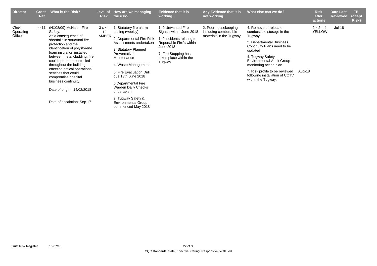| <b>Director</b>               | <b>Cross</b><br>Ref | What is the Risk?                                                                                                                                                                                                                                                                                                                                                                                                                          | Level of<br><b>Risk</b>       | How are we managing<br>the risk?                                                                                                                                                                                                                                                                                                                                                | <b>Evidence that it is</b><br>working.                                                                                                                                           | Any Evidence that it is<br>not working.                                  | What else can we do?                                                                                                                                                                                                                                                                                            |        | <b>Risk</b><br>after<br>actions   | <b>Date Last</b><br><b>Reviewed</b> | TB<br><b>Accept</b><br>Risk? |
|-------------------------------|---------------------|--------------------------------------------------------------------------------------------------------------------------------------------------------------------------------------------------------------------------------------------------------------------------------------------------------------------------------------------------------------------------------------------------------------------------------------------|-------------------------------|---------------------------------------------------------------------------------------------------------------------------------------------------------------------------------------------------------------------------------------------------------------------------------------------------------------------------------------------------------------------------------|----------------------------------------------------------------------------------------------------------------------------------------------------------------------------------|--------------------------------------------------------------------------|-----------------------------------------------------------------------------------------------------------------------------------------------------------------------------------------------------------------------------------------------------------------------------------------------------------------|--------|-----------------------------------|-------------------------------------|------------------------------|
| Chief<br>Operating<br>Officer | 4411                | (NX08/09) McHale - Fire<br>Safety:<br>As a consequence of<br>shortfalls in structural fire<br>protection and the<br>identification of polystyrene<br>foam insulation installed<br>between metal cladding, fire<br>could spread uncontrolled<br>throughout the building<br>effecting critical operational<br>services that could<br>compromise hospital<br>business continuity.<br>Date of origin: 14/02/2018<br>Date of escalation: Sep 17 | $3 \times 4 =$<br>12<br>AMBER | . Statutory fire alarm<br>testing (weekly)<br>2. Departmental Fire Risk<br>Assessments undertaken<br>3. Statutory Planned<br>Preventative<br>Maintenance<br>4. Waste Management<br>6. Fire Evacuation Drill<br>due 13th June 2018<br>5. Departmental Fire<br><b>Warden Daily Checks</b><br>undertaken<br>7. Tugway Safety &<br><b>Environmental Group</b><br>commenced May 2018 | 1.0 Unwanted Fire<br>Signals within June 2018<br>1. 0 incidents relating to<br>Reportable Fire's within<br>June 2018<br>7. Fire Stopping has<br>taken place within the<br>Tugway | 2. Poor housekeeping<br>including combustible<br>materials in the Tugway | 4. Remove or relocate<br>combustible storage in the<br>Tugway<br>2. Departmental Business<br>Continuity Plans need to be<br>updated<br>4. Tugway Safety<br><b>Environmental Audit Group</b><br>monitoring action plan<br>7. Risk profile to be reviewed<br>following installation of CCTV<br>within the Tugway. | Aug-18 | $2 \times 2 = 4$<br><b>YELLOW</b> | Jul-18                              |                              |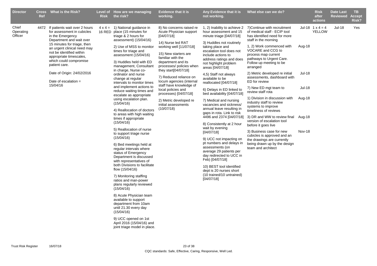| <b>Director</b>               | <b>Ref</b> | Cross What is the Risk?                                                                                                                                                                                                                                                                                                                         | <b>Risk</b> | Level of How are we managing<br>the risk?                                                                                                                                                                                                                                                                                                                                                                                                                                                                                                                                                                                                                                                                                                                                                                                                                                                                                                                                                                                                                                                                                                                | <b>Evidence that it is</b><br>working.                                                                                                                                                                                                                                                                                                                                                                                                     | Any Evidence that it is<br>not working.                                                                                                                                                                                                                                                                                                                                                                                                                                                                                                                                                                                                                                                                                                                                                                                         | What else can we do?                                                                                                                                                                                                                                                                                                                                                                                                                                                                                                                                                                                                                                                                                                                                                                  |                                                              | <b>Risk</b><br>after<br>actions          | <b>Date Last</b><br><b>Reviewed</b> | <b>TB</b><br><b>Accept</b><br>Risk? |
|-------------------------------|------------|-------------------------------------------------------------------------------------------------------------------------------------------------------------------------------------------------------------------------------------------------------------------------------------------------------------------------------------------------|-------------|----------------------------------------------------------------------------------------------------------------------------------------------------------------------------------------------------------------------------------------------------------------------------------------------------------------------------------------------------------------------------------------------------------------------------------------------------------------------------------------------------------------------------------------------------------------------------------------------------------------------------------------------------------------------------------------------------------------------------------------------------------------------------------------------------------------------------------------------------------------------------------------------------------------------------------------------------------------------------------------------------------------------------------------------------------------------------------------------------------------------------------------------------------|--------------------------------------------------------------------------------------------------------------------------------------------------------------------------------------------------------------------------------------------------------------------------------------------------------------------------------------------------------------------------------------------------------------------------------------------|---------------------------------------------------------------------------------------------------------------------------------------------------------------------------------------------------------------------------------------------------------------------------------------------------------------------------------------------------------------------------------------------------------------------------------------------------------------------------------------------------------------------------------------------------------------------------------------------------------------------------------------------------------------------------------------------------------------------------------------------------------------------------------------------------------------------------------|---------------------------------------------------------------------------------------------------------------------------------------------------------------------------------------------------------------------------------------------------------------------------------------------------------------------------------------------------------------------------------------------------------------------------------------------------------------------------------------------------------------------------------------------------------------------------------------------------------------------------------------------------------------------------------------------------------------------------------------------------------------------------------------|--------------------------------------------------------------|------------------------------------------|-------------------------------------|-------------------------------------|
| Chief<br>Operating<br>Officer | 4472       | If patients wait over 2 hours<br>for assessment in cubicles<br>in the Emergency<br>Department and wait over<br>15 minutes for triage, then<br>an urgent clinical need may<br>not be identified within<br>appropriate timescales,<br>which could compromise<br>patient care.<br>Date of Origin: 24/02/2016<br>Date of escalation $=$<br>15/04/16 |             | $4 \times 4 = 1$ ) National quidance in<br>16 RED place (15 minutes for<br>triage & 2 hours for<br>assessment) (15/04/16)<br>2) Use of MSS to monitor<br>times for triage and<br>assessment (15/04/16)<br>3) Huddles held with ED<br>management, Consultant<br>in charge, Nurse co-<br>ordinator and nurse<br>change at regular<br>intervals to monitor times<br>and implement actions to<br>reduce waiting times and<br>escalate as appropriate<br>using escalation plan.<br>(15/04/16)<br>4) Reallocation of doctors<br>to areas with high waiting<br>times if appropriate<br>(15/04/16)<br>5) Reallocation of nurse<br>to support triage nurse<br>(15/04/16)<br>6) Bed meetings held at<br>regular intervals where<br>status of Emergency<br>Department is discussed<br>with representatives of<br>both Divisions to facilitate<br>flow (15/04/16)<br>7) Monitoring staffing<br>ratios and man-power<br>plans regularly reviewed<br>(15/04/16)<br>8) Acute Physician team<br>available to support<br>department from 10am<br>until 21.30 every day<br>(15/04/16)<br>9) UCC opened on 1st<br>April 2016 (15/04/16) and<br>joint triage model in place. | 8) No concerns raised re<br>Acute Physician support<br>[04/07/18]<br>14) Nurse led RAT<br>working well [11/07/18]<br>15) New starters are<br>familiar with the<br>department and its<br>processes/ policies when<br>they start $[04/07/18]$<br>7) Reduced reliance on<br>locum agencies (internal<br>staff have knowledge of<br>local policies and<br>processes) [04/07/18]<br>2) Metric developed re<br>initial assessments<br>(10/07/18) | hour assessment and 15<br>minute triage [04/07/18]<br>3) Huddles not routinely<br>taking place and<br>escalation tool does not<br>include actions to<br>address ratings and does<br>not highlight problem<br>areas [04/07/18]<br>4,5) Staff not always<br>available to be<br>reallocated [04/07/18]<br>6) Delays in ED linked to<br>bed availability [04/07/18]<br>7) Medical and nursing<br>vacancies and sickness/<br>annual leave resulting in<br>gaps in rota. Link to risk<br>4496 and 2374 [04/07/18]<br>8) Consistently at 2 hour<br>wait by evening<br>[04/07/18]<br>9) UCC not impacting on<br>pt numbers and delays in<br>assessments (on<br>average 29 patients per<br>day redirected to UCC in<br>Feb) [04/07/18]<br>10) BEST tool identified<br>dept is 20 nurses short<br>(10 trained/10 untrained)<br>[04/07/18] | 1, 2) Inability to achieve 2 7) Continue with recruitment<br>of medical staff - ECIP tool<br>has identified need for more<br>staff in the morning<br>1, 2) Work commenced with<br>VOCARE and CCG to<br>process map current<br>pathways to Urgent Care.<br>Follow up meeting to be<br>arranged<br>2) Metric developed re initial<br>assessments, dashboard with<br>ED for review<br>7) New ED mgt team to<br>review staff rota<br>1) Division in discussion with<br>industry staff to review<br>systems to improve<br>timeliness of reviews<br>3) DR and WW to review final Aug-18<br>version of escalation tool<br>before it goes live<br>3) Business case for new<br>cubicles is approved and an<br>the drawings are currently<br>being drawn up by the design<br>team and architect | Aug-18<br><b>Jul-18</b><br><b>Jul-18</b><br>Aug-18<br>Nov-18 | Jul-18 $1 \times 4 = 4$<br><b>YELLOW</b> | $Jul-18$                            | Yes                                 |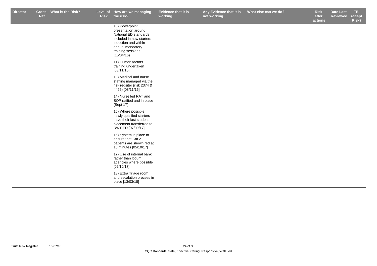**Evidence that it is working.**

**not working.**

**Risk after** 

**actions Date Last Reviewed Accept Risk?**

| 10) Powerpoint<br>presentation around<br>National ED standards<br>included in new starters<br>induction and within<br>annual mandatory<br>training sessions<br>(15/04/16) |
|---------------------------------------------------------------------------------------------------------------------------------------------------------------------------|
| 11) Human factors<br>training undertaken<br>[08/11/16]                                                                                                                    |
| 13) Medical and nurse<br>staffing managed via the<br>risk regsiter (risk 2374 &<br>4496) [08/11/16]                                                                       |
| 14) Nurse led RAT and<br>SOP ratified and in place<br>(Sept 17)                                                                                                           |
| 15) Where possible,<br>newly qualified starters<br>have their last student<br>placement transferred to<br>RWT ED [07/09/17]                                               |
| 16) System in place to<br>ensure that Cat 2<br>patients are shown red at<br>15 minutes [05/10/17]                                                                         |
| 17) Use of internal bank<br>rather than locum<br>agencies where possible<br>[05/10/17]                                                                                    |
| 18) Extra Triage room<br>and escalation process in<br>place [13/03/18]                                                                                                    |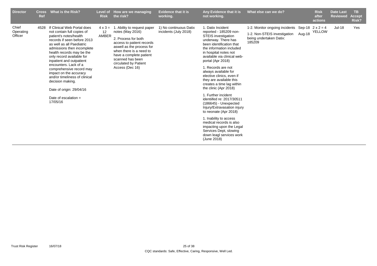| <b>Director</b>               | <b>Cross</b><br>Ref | What is the Risk?                                                                                                                                                                                                                                                                                                                                                                                                                                                         | <b>Level of</b><br><b>Risk</b> | How are we managing<br>the risk?                                                                                                                                                                                                                       | <b>Evidence that it is</b><br>working.          | Any Evidence that it is<br>not working.                                                                                                                                                                                                                                                                                                                                                                                                                                                                                                                                                                                                                                                        | What else can we do?                                                                                | <b>Risk</b><br>after<br>actions          | <b>Date Last</b><br><b>Reviewed</b> | TB.<br><b>Accept</b><br>Risk? |
|-------------------------------|---------------------|---------------------------------------------------------------------------------------------------------------------------------------------------------------------------------------------------------------------------------------------------------------------------------------------------------------------------------------------------------------------------------------------------------------------------------------------------------------------------|--------------------------------|--------------------------------------------------------------------------------------------------------------------------------------------------------------------------------------------------------------------------------------------------------|-------------------------------------------------|------------------------------------------------------------------------------------------------------------------------------------------------------------------------------------------------------------------------------------------------------------------------------------------------------------------------------------------------------------------------------------------------------------------------------------------------------------------------------------------------------------------------------------------------------------------------------------------------------------------------------------------------------------------------------------------------|-----------------------------------------------------------------------------------------------------|------------------------------------------|-------------------------------------|-------------------------------|
| Chief<br>Operating<br>Officer | 4528                | If Clinical Web Portal does<br>not contain full copies of<br>patient's notes/health<br>records if seen before 2013<br>as well as all Paediatric<br>admissions then incomplete<br>health records may be the<br>only record available for<br>inpatient and outpatient<br>encounters. Lack of a<br>comprehensive record may<br>impact on the accuracy<br>and/or timeliness of clinical<br>decision making.<br>Date of origin: 29/04/16<br>Date of escalation $=$<br>17/05/16 | $4 \times 3 =$<br>12<br>AMBER  | 1. Ability to request paper<br>notes (May 2016)<br>2. Process for both<br>access to patient records<br>aswell as the process for<br>when there is a need to<br>have a complete patient<br>scanned has been<br>circulated by Patient<br>Access (Dec 16) | 1) No continuous Datix<br>incidents (July 2018) | 1. Datix Incident<br>reported - 185209 non-<br><b>STEIS</b> investigation<br>underway. There has<br>been identification that<br>the information included<br>in hospital notes not<br>available via clinical web-<br>portal (Apr 2018)<br>1. Records are not<br>always available for<br>elective clinics, even if<br>they are available this<br>creates a time lag within<br>the clinic (Apr 2018)<br>1. Further incident<br>identiifed re: 2017/30511<br>$(186645)$ - Unexpected<br>Injury/Extravasation injury<br>to neonate (Apr 2018)<br>1. Inability to access<br>medical records is also<br>impacting upon the Legal<br>Services Dept, slowing<br>down leagl services work<br>(June 2018) | 1-2. Monitor ongoing incidents<br>1-2. Non-STEIS investigation<br>being undertaken Datix:<br>185209 | Sep-18 $2 \times 2 = 4$<br>Aug-18 YELLOW | <b>Jul-18</b>                       | Yes                           |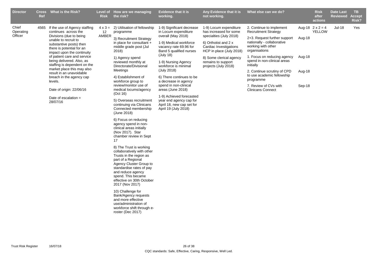| <b>Director</b>               | <b>Cross</b><br><b>Ref</b> | What is the Risk?                                                                                                                     | <b>Risk</b> | Level of How are we managing<br>the risk?                                                                                                                                                                                                                | <b>Evidence that it is</b><br>working.                                                                   | Any Evidence that it is<br>not working.                                                               | What else can we do?                                                                              |        | <b>Risk</b><br>after<br>actions          | <b>Date Last</b><br><b>Reviewed</b> | TB.<br><b>Accept</b><br>Risk? |
|-------------------------------|----------------------------|---------------------------------------------------------------------------------------------------------------------------------------|-------------|----------------------------------------------------------------------------------------------------------------------------------------------------------------------------------------------------------------------------------------------------------|----------------------------------------------------------------------------------------------------------|-------------------------------------------------------------------------------------------------------|---------------------------------------------------------------------------------------------------|--------|------------------------------------------|-------------------------------------|-------------------------------|
| Chief<br>Operating<br>Officer | 4565                       | If the use of Agency staffing<br>continues across the                                                                                 | 12          | $4 \times 3 = 2$ ) Utilisation of fellowship<br>programme                                                                                                                                                                                                | 1-9) Significant decrease<br>in Locum expenditure                                                        | 1-9) Locum expenditure<br>has increased for some                                                      | 2. Continue to implement<br><b>Recruitment Strategy</b>                                           |        | Aug-18 $2 \times 2 = 4$<br><b>YELLOW</b> | $Jul-18$                            | Yes                           |
|                               |                            | Divisions (due to being<br>unable to recruit to<br>substantive posts) then<br>there is potential for an<br>impact upon the continuity | AMBER       | 3) Recruitment Strategy<br>in place for consultant +<br>middle grade post (Jul<br>2018)                                                                                                                                                                  | overall (May 2018)<br>1-9) Medical workforce<br>vacancy rate 69.96 for<br>Band 5 qualified nurses        | specialties (July 2018)<br>6) Orthotist and 2 x<br>Cardiac Investigations<br>HCP in place (July 2018) | 2+3. Request further support<br>nationally - collaborative<br>working with other<br>organisations | Aug-18 |                                          |                                     |                               |
|                               |                            | of patient care and service<br>being delivered. Also, as<br>staffing is dependent on the                                              |             | 1) Agency spend<br>reviewed monthly at<br>Directorate/Divisional                                                                                                                                                                                         | (July 18)<br>1-9) Nursing Agency<br>workforce is minimal                                                 | 8) Some clerical agency<br>remains to support<br>projects (July 2018)                                 | 1. Focus on reducing agency<br>spend in non-clinical areas<br>initially                           | Aug-18 |                                          |                                     |                               |
|                               |                            | market place this may also<br>result in an unavoidable<br>breach in the agency cap<br>levels.                                         |             | Meetings<br>4) Establishment of<br>workforce group to                                                                                                                                                                                                    | (July 2018)<br>6) There continues to be<br>a decrease in agency                                          |                                                                                                       | 2. Continue scrutiny of CPD<br>to use academic fellowship<br>programme                            | Aug-18 |                                          |                                     |                               |
|                               |                            | Date of origin: 22/06/16                                                                                                              |             | review/monitor use of<br>medical locums/agency<br>(Oct 16)                                                                                                                                                                                               | spend in non-clinical<br>areas (June 2018)                                                               |                                                                                                       | 7. Review of CVs with<br><b>Clinicans Connect</b>                                                 | Sep-18 |                                          |                                     |                               |
|                               |                            | Date of escalation $=$<br>28/07/16                                                                                                    |             | 5) Overseas recruitment<br>continuing via Clinicans<br>Connected membership<br>(June 2018)                                                                                                                                                               | 1-9) Achieved forecasted<br>year end agency cap for<br>April 18, new cap set for<br>April 19 (July 2018) |                                                                                                       |                                                                                                   |        |                                          |                                     |                               |
|                               |                            |                                                                                                                                       |             | 6) Focus on reducing<br>agency spend in non-<br>clinical areas initially<br>(Nov 2017). Star<br>chamber review in Sept<br>17                                                                                                                             |                                                                                                          |                                                                                                       |                                                                                                   |        |                                          |                                     |                               |
|                               |                            |                                                                                                                                       |             | 8) The Trust is working<br>collaboratively with other<br>Trusts in the region as<br>part of a Regional<br>Agency Cluster Group to<br>standardise rates of pay<br>and reduce agency<br>spend. This became<br>effective on 30th October<br>2017 (Nov 2017) |                                                                                                          |                                                                                                       |                                                                                                   |        |                                          |                                     |                               |
|                               |                            |                                                                                                                                       |             | 10) Challenge for<br>Bank/Agency requests<br>and more effective<br>use/administration of<br>workforce shift through e-<br>roster (Dec 2017)                                                                                                              |                                                                                                          |                                                                                                       |                                                                                                   |        |                                          |                                     |                               |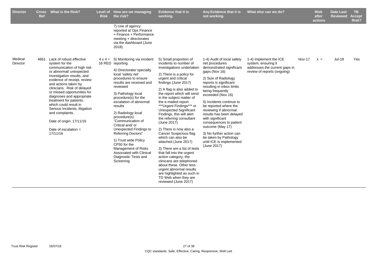| <b>Director</b>     | Cross<br>Ref | What is the Risk?                                                                                                                                                                                                                                                                                                                                                                                                                                             | <b>Risk</b> | Level of How are we managing<br>the risk?                                                                                                                                                                                                                                                                                                                                                                                                                                                                                                  | <b>Evidence that it is</b><br>working.                                                                                                                                                                                                                                                                                                                                                                                                                                                                                                                                                                                                                                                                                                                             | Any Evidence that it is<br>not working.                                                                                                                                                                                                                                                                                                                                                                                                                                                        | What else can we do?                                                                                          |        | <b>Risk</b><br>after<br>actions | <b>Date Last</b><br><b>Reviewed</b> | TB.<br><b>Accept</b><br>Risk? |
|---------------------|--------------|---------------------------------------------------------------------------------------------------------------------------------------------------------------------------------------------------------------------------------------------------------------------------------------------------------------------------------------------------------------------------------------------------------------------------------------------------------------|-------------|--------------------------------------------------------------------------------------------------------------------------------------------------------------------------------------------------------------------------------------------------------------------------------------------------------------------------------------------------------------------------------------------------------------------------------------------------------------------------------------------------------------------------------------------|--------------------------------------------------------------------------------------------------------------------------------------------------------------------------------------------------------------------------------------------------------------------------------------------------------------------------------------------------------------------------------------------------------------------------------------------------------------------------------------------------------------------------------------------------------------------------------------------------------------------------------------------------------------------------------------------------------------------------------------------------------------------|------------------------------------------------------------------------------------------------------------------------------------------------------------------------------------------------------------------------------------------------------------------------------------------------------------------------------------------------------------------------------------------------------------------------------------------------------------------------------------------------|---------------------------------------------------------------------------------------------------------------|--------|---------------------------------|-------------------------------------|-------------------------------|
|                     |              |                                                                                                                                                                                                                                                                                                                                                                                                                                                               |             | 7) Use of agency<br>reported at Ops Finance<br>+ Finance + Performance<br>meeting + directorates<br>via the dashboard (June<br>2018)                                                                                                                                                                                                                                                                                                                                                                                                       |                                                                                                                                                                                                                                                                                                                                                                                                                                                                                                                                                                                                                                                                                                                                                                    |                                                                                                                                                                                                                                                                                                                                                                                                                                                                                                |                                                                                                               |        |                                 |                                     |                               |
| Medical<br>Director | 4661         | Lack of robust effective<br>system for the<br>communication of high risk<br>or abnormal/ unexpected<br>investigation results, and<br>evidence of receipt, review<br>and actions taken by<br>clinicians. Risk of delayed<br>or missed opportunities for<br>diagnoses and appropriate<br>treatment for patients,<br>which could result in<br>Serious Incidents, litigation<br>and complaints.<br>Date of origin: 17/11/16<br>Date of escalation $=$<br>17/11/16 |             | $4 \times 4 = 5$ ) Monitoring via incident<br>16 RED reporting<br>4) Directorate/ specialty<br>local 'safety net'<br>procedures to ensure<br>results are received and<br>reviewed<br>3) Pathology local<br>procedure(s) for the<br>escalation of abnormal<br>results<br>2) Radiology local<br>procedure(s)<br>"Communication of<br>Critical and/ or<br>Unexpected Findings to<br><b>Referring Doctors"</b><br>1) Trust wide Policy<br>CP50 for the<br>Management of Risks<br>Associated with Clinical<br>Diagnostic Tests and<br>Screening | 5) Small proportion of<br>incidents to number of<br>investigations undertaken<br>2) There is a policy for<br>urgent and critical<br>findings (June 2017)<br>2) A flag is also added to<br>the report which will send<br>in the subject matter of<br>the e-mailed report<br>***Urgent Findings*** or<br><b>Unexpected Significant</b><br>Findings, this will alert<br>the referring consultant<br>(June 2017)<br>2) There is now also a<br>Cancer Suspicious flag<br>which can also be<br>attached (June 2017)<br>3) There are a list of tests<br>that fall into the urgent<br>action category, the<br>clinicans are telephoned<br>about these. Other less<br>urgent abnormal results<br>are highlighted as such in<br>TD Web when they are<br>reviewed (June 2017) | 1-4) Audit of local safety<br>net procedures<br>demonstrated significant<br>gaps (Nov 16)<br>2) Size of Radiology<br>reports is significant<br>resulting in inbox limits<br>being frequently<br>exceeded (Nov 16)<br>5) Incidents continue to<br>be reported where the<br>reviewing if abnormal<br>results has been delayed<br>with significant<br>consequences to patient<br>outcome (May 17)<br>3) No further action can<br>be taken by Pathology<br>until ICE is implemented<br>(June 2017) | 1-4) Implement the ICE<br>system, ensuring it<br>addresses the current gaps in<br>review of reports (ongoing) | Nov-17 | $x =$                           | <b>Jul-18</b>                       | Yes                           |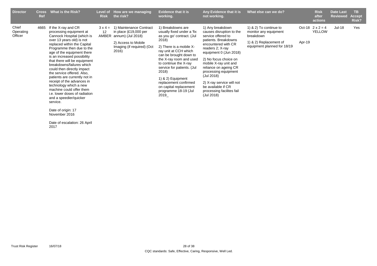| <b>Director</b>               | <b>Cross</b><br>Ref | <b>What is the Risk?</b>                                                                                                                                                                                                                                                                                                                                                                                                                                                                                                                                                                       | Level of<br><b>Risk</b> | How are we managing<br>the risk?                                                                                                            | <b>Evidence that it is</b><br>working.                                                                                                                                                                                                                                                                                                                                 | Any Evidence that it is<br>not working.                                                                                                                                                                                                                                                                                                                                        | What else can we do?                                                                                                  |        | <b>Risk</b><br>after<br>actions          | <b>Date Last</b><br><b>Reviewed</b> | TB.<br><b>Accept</b><br><b>Risk?</b> |
|-------------------------------|---------------------|------------------------------------------------------------------------------------------------------------------------------------------------------------------------------------------------------------------------------------------------------------------------------------------------------------------------------------------------------------------------------------------------------------------------------------------------------------------------------------------------------------------------------------------------------------------------------------------------|-------------------------|---------------------------------------------------------------------------------------------------------------------------------------------|------------------------------------------------------------------------------------------------------------------------------------------------------------------------------------------------------------------------------------------------------------------------------------------------------------------------------------------------------------------------|--------------------------------------------------------------------------------------------------------------------------------------------------------------------------------------------------------------------------------------------------------------------------------------------------------------------------------------------------------------------------------|-----------------------------------------------------------------------------------------------------------------------|--------|------------------------------------------|-------------------------------------|--------------------------------------|
| Chief<br>Operating<br>Officer | 4665                | If the X-ray and CR<br>processing equipment at<br>Cannock Hospital (which is<br>over 13 years old) is not<br>replaced within the Capital<br>Programme then due to the<br>age of the equipment there<br>is an increased possibility<br>that there will be equipment<br>breakdowns/failures which<br>could then directly impact<br>the service offered. Also,<br>patients are currently not in<br>receipt of the advances in<br>technology which a new<br>machine could offer them<br>i.e. lower doses of radiation<br>and a speedier/quicker<br>service.<br>Date of origin: 17<br>November 2016 | $3 \times 4 =$<br>12    | 1) Maintenance Contract<br>in place $(E19,000$ per<br>AMBER annum) (Jul 2018)<br>2) Access to Mobile<br>Imaging (if required) (Oct<br>2016) | 1) Breakdowns are<br>usually fixed under a 'fix<br>as you go' contract. (Jul<br>2018)<br>2) There is a mobile X-<br>ray unit at CCH which<br>can be brought down to<br>the X-ray room and used<br>to continue the X-ray<br>service for patients. (Jul<br>2018)<br>1) & 2) Equipment<br>replacement confirmed<br>on capital replacement<br>programme 18-19 (Jul<br>2019 | 1) Any breakdown<br>causes disruption to the<br>service offered to<br>patients. Breakdowns<br>encountered with CR<br>readers 2; X-ray<br>equipment 0 (Jun 2018)<br>2) No focus choice on<br>mobile X-ray unit and<br>reliance on ageing CR<br>processing equipment<br>(Jul 2018)<br>2) X-ray service will not<br>be available if CR<br>processing facilites fail<br>(Jul 2018) | 1) & 2) To continue to<br>monitor any equipment<br>breakdown<br>1) & 2) Replacement of<br>equipment planned for 18/19 | Apr-19 | Oct-18 $2 \times 2 = 4$<br><b>YELLOW</b> | <b>Jul-18</b>                       | Yes                                  |

Date of escalation: 26 April 2017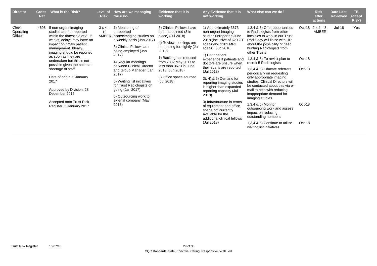| <b>Director</b>               | <b>Cross</b><br>Ref | What is the Risk?                                                                                                                                                                                                                                                                                                                                                                                                                                       | Level of<br><b>Risk</b>       | How are we managing<br>the risk?                                                                                                                                                                                                                                                                                                                                                           | <b>Evidence that it is</b><br>working.                                                                                                                                                                                                                                          | Any Evidence that it is<br>not working.                                                                                                                                                                                                                                                                                                                                                                                                                                                                                                       | What else can we do?                                                                                                                                                                                                                                                                                                                                                                                                                                                                                                                                                                                                                                                                       |                                      | <b>Risk</b><br>after<br>actions  | <b>Date Last</b><br><b>Reviewed</b> | <b>TB</b><br>Accept<br>Risk? |
|-------------------------------|---------------------|---------------------------------------------------------------------------------------------------------------------------------------------------------------------------------------------------------------------------------------------------------------------------------------------------------------------------------------------------------------------------------------------------------------------------------------------------------|-------------------------------|--------------------------------------------------------------------------------------------------------------------------------------------------------------------------------------------------------------------------------------------------------------------------------------------------------------------------------------------------------------------------------------------|---------------------------------------------------------------------------------------------------------------------------------------------------------------------------------------------------------------------------------------------------------------------------------|-----------------------------------------------------------------------------------------------------------------------------------------------------------------------------------------------------------------------------------------------------------------------------------------------------------------------------------------------------------------------------------------------------------------------------------------------------------------------------------------------------------------------------------------------|--------------------------------------------------------------------------------------------------------------------------------------------------------------------------------------------------------------------------------------------------------------------------------------------------------------------------------------------------------------------------------------------------------------------------------------------------------------------------------------------------------------------------------------------------------------------------------------------------------------------------------------------------------------------------------------------|--------------------------------------|----------------------------------|-------------------------------------|------------------------------|
| Chief<br>Operating<br>Officer | 4696                | If non-urgent imaging<br>studies are not reported<br>within the timescale of $3 - 6$<br>weeks, delays may have an<br>impact on timely patient<br>management. Ideally,<br>imaging should be reported<br>as soon as they are<br>undertaken but this is not<br>possible given the national<br>shortage of staff.<br>Date of origin: 5 January<br>2017<br>Approved by Division: 28<br>December 2016<br>Accepted onto Trust Risk<br>Register: 5 January 2017 | $3 \times 4 =$<br>12<br>AMBER | 1) Monitoring of<br>unreported<br>scans/imaging studies on<br>a weekly basis (Jan 2017)<br>3) Clinical Fellows are<br>being employed (Jan<br>2017)<br>4) Regular meetings<br>between Clinical Director<br>and Group Manager (Jan<br>2017)<br>5) Waiting list initiatives<br>for Trust Radiologists on<br>going $($ Jan 2017 $)$<br>6) Outsourcing work to<br>extenal company (May<br>2018) | 3) Clinical Fellows have<br>been appointed (3 in<br>place) (Jul 2018)<br>4) Review meetings are<br>happening fortnightly (Jul<br>2018)<br>1) Backlog has reduced<br>from 7332 May 2017 to<br>less than 3673 in June<br>2018 (Jun 2018)<br>3) Office space sourced<br>(Jul 2018) | 1) Approximately 3673<br>non-urgent imaging<br>studies unreported June<br>2018 (inclusive of 620 CT<br>scans and 1181 MRI<br>scans) (Jun 2018)<br>1) Poor patient<br>experience if patients and<br>doctors are unsure when<br>their scans are reported<br>(Jul 2018)<br>$3, 4, 8, 5$ Demand for<br>reporting imaging studies<br>is higher than expanded<br>reporting capacity (Jul<br>2018)<br>3) Infrastructure in terms<br>of equipment and office<br>space not currently<br>available for the<br>additional clinical fellows<br>(Jul 2018) | 1,3,4 & 5) Offer opportunities<br>to Radiologists from other<br>localities to work in our Trust.<br>Radiology will liaise with HR<br>about the possibility of head<br>hunting Radiologists from<br>other Trusts<br>1,3,4 $\&$ 5) To revisit plan to<br>recruit 5 Radiologists<br>1,3,4 & 5) Educate referrers<br>periodically on requesting<br>only appropriate imaging<br>studies. Clinical Directors will<br>be contacted about this via e-<br>mail to help with reducing<br>inappropriate demand for<br>imaging studies<br>1,3,4 & 5) Monitor<br>outsourcing work and assess<br>impact on reducing<br>outstanding numbers<br>1,3,4 & 5) Continue to utilise<br>waiting list initiatives | Oct-18<br>Oct-18<br>Oct-18<br>Oct-18 | Oct-18 $2 \times 4 = 8$<br>AMBER | Jul-18                              | Yes                          |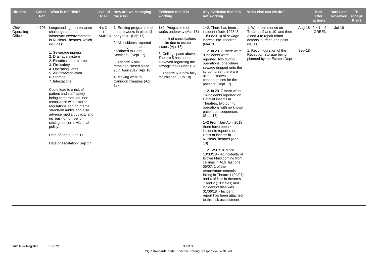| <b>Director</b>               | <b>Cross</b><br>Ref | <b>What is the Risk?</b>                                                                                                                                                                                                                                                                                                                                                                                                                                                                                                                                                                                                                  | <b>Risk</b> | Level of How are we managing<br>the risk?                                                                                                                                                                                                                                                                                         | <b>Evidence that it is</b><br>working.                                                                                                                                                                                                                                        | Any Evidence that it is<br>not working.                                                                                                                                                                                                                                                                                                                                                                                                                                                                                                                                                                                                                                                                                                                                                                                                                                                                                                               | What else can we do?                                                                                                                                                                                        |        | <b>Risk</b><br>after<br>actions         | <b>Date Last</b><br><b>Reviewed</b> | TB.<br><b>Accept</b><br>Risk? |
|-------------------------------|---------------------|-------------------------------------------------------------------------------------------------------------------------------------------------------------------------------------------------------------------------------------------------------------------------------------------------------------------------------------------------------------------------------------------------------------------------------------------------------------------------------------------------------------------------------------------------------------------------------------------------------------------------------------------|-------------|-----------------------------------------------------------------------------------------------------------------------------------------------------------------------------------------------------------------------------------------------------------------------------------------------------------------------------------|-------------------------------------------------------------------------------------------------------------------------------------------------------------------------------------------------------------------------------------------------------------------------------|-------------------------------------------------------------------------------------------------------------------------------------------------------------------------------------------------------------------------------------------------------------------------------------------------------------------------------------------------------------------------------------------------------------------------------------------------------------------------------------------------------------------------------------------------------------------------------------------------------------------------------------------------------------------------------------------------------------------------------------------------------------------------------------------------------------------------------------------------------------------------------------------------------------------------------------------------------|-------------------------------------------------------------------------------------------------------------------------------------------------------------------------------------------------------------|--------|-----------------------------------------|-------------------------------------|-------------------------------|
| Chief<br>Operating<br>Officer | 4706                | Longstanding maintenance<br>challenge around<br>infrastructure/environment<br>in Nucleus Theatres, which<br>includes:<br>1. Sewerage ingress<br>2. Drainage system<br>2. Electrical infrastructure<br>3. Fire safety<br>4. Operating lights<br>5. Air-flow/ventilation<br>6. Storage<br>7. Infestations<br>Could lead to a risk of<br>patient and staff safety<br>being compromised, non-<br>compliance with external<br>regulations and/or internal<br>standard/ audits and also<br>adverse media publicity and<br>increasing number of<br>raising concerns via local<br>policy.<br>Date of origin: Feb 17<br>Date of escalation: Sep 17 | 12          | $4 \times 3 = 1$ . Existing programme of<br>theatre works in place (1<br>AMBER per year) - (Feb 17)<br>2. All incidents reported<br>to management are<br>escalated to Hotel<br>Services - (Sept 17)<br>3. Theatre 5 has<br>remained closed since<br>25th April 2017 (Apr 18)<br>4. Moving work to<br>Cannock Theatres (Apr<br>18) | 1+2. Programme of<br>works underway (Mar 18)<br>4. Lack of cancellations<br>on site due to estate<br>issues (Apr 18)<br>3. Ceiling space above<br>Theatre 5 has been<br>surveyed regarding the<br>sewage leaks (Mar 18)<br>3. Theatre 5 is now fully<br>refurbished (July 18) | $1+2$ . There has been 1<br>incident (Datix 192843 -<br>10/03/2018) of sewage<br>ingress into Theatres<br>(Mar 18)<br>1+2. In 2017 there were<br>9 incidents were<br>reported, two during<br>operations, one where<br>sewage dripped onto the<br>scrub nurse, there are<br>also no known<br>consequences for the<br>patients (Sept 17)<br>1+2. In 2017 there were<br>16 incidents reported on<br>Datix of insects in<br>Theatres, two during<br>operations with no known<br>patient consequences<br>(Sept 17)<br>1+2 From Jan-April 2018<br>there have been 4<br>incidents reported on<br>Datix of insects in<br><b>NucleusTheatres (April</b><br>18)<br>1+2 12/07/18 since<br>10/03/18 - 4x incidents of<br>Brown Fluid coming from<br>ceilings in A15 last one<br>05/07, 1 of the<br>temperature controls<br>failing in Theatre1 (09/07)<br>and 4 of flies in theatres<br>1 and 2 (13 x flies) last<br>incident of flies was<br>01/06/18 - Incident | 1. Work commence on<br>Theatres 9 and 10 and then<br>3 and 4 to repair minor<br>defects, surface and paint<br>issues<br>1. Reconfiguration of the<br>Reception Storage being<br>planned by the Estates Dept | Sep-18 | Aug-18 $2 \times 1 = 2$<br><b>GREEN</b> | <b>Jul-18</b>                       |                               |
|                               |                     |                                                                                                                                                                                                                                                                                                                                                                                                                                                                                                                                                                                                                                           |             |                                                                                                                                                                                                                                                                                                                                   |                                                                                                                                                                                                                                                                               | report has been attached<br>to this risk assessment                                                                                                                                                                                                                                                                                                                                                                                                                                                                                                                                                                                                                                                                                                                                                                                                                                                                                                   |                                                                                                                                                                                                             |        |                                         |                                     |                               |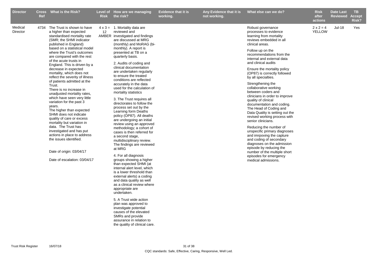| <b>Director</b>     | <b>Ref</b> | Cross What is the Risk?                                                                                                                                                                                                                                                                                                                                                                                                                                                                                                                                                                                                                                                                                                                                                                                                                                      | <b>Risk</b>       | Level of How are we managing<br>the risk?                                                                                                                                                                                                                                                                                                                                                                                                                                                                                                                                                                                                                                                                                                                                                                                                                                                                                                                                                                                                                                                                                                                                               | <b>Evidence that it is</b><br>working. | Any Evidence that it is<br>not working. | What else can we do?                                                                                                                                                                                                                                                                                                                                                                                                                                                                                                                                                                                                                                                                                                                                                                                                                                    | <b>Risk</b><br>after<br>actions   | Date Last<br><b>Reviewed</b> | TB.<br><b>Accept</b><br>Risk? |
|---------------------|------------|--------------------------------------------------------------------------------------------------------------------------------------------------------------------------------------------------------------------------------------------------------------------------------------------------------------------------------------------------------------------------------------------------------------------------------------------------------------------------------------------------------------------------------------------------------------------------------------------------------------------------------------------------------------------------------------------------------------------------------------------------------------------------------------------------------------------------------------------------------------|-------------------|-----------------------------------------------------------------------------------------------------------------------------------------------------------------------------------------------------------------------------------------------------------------------------------------------------------------------------------------------------------------------------------------------------------------------------------------------------------------------------------------------------------------------------------------------------------------------------------------------------------------------------------------------------------------------------------------------------------------------------------------------------------------------------------------------------------------------------------------------------------------------------------------------------------------------------------------------------------------------------------------------------------------------------------------------------------------------------------------------------------------------------------------------------------------------------------------|----------------------------------------|-----------------------------------------|---------------------------------------------------------------------------------------------------------------------------------------------------------------------------------------------------------------------------------------------------------------------------------------------------------------------------------------------------------------------------------------------------------------------------------------------------------------------------------------------------------------------------------------------------------------------------------------------------------------------------------------------------------------------------------------------------------------------------------------------------------------------------------------------------------------------------------------------------------|-----------------------------------|------------------------------|-------------------------------|
| Medical<br>Director |            | 4734 The Trust is shown to have<br>a higher than expected<br>standardised mortality rate<br>(SMR; the SHMI indicator<br>published in England)<br>based on a statistical model<br>where the Trust's outcomes<br>are compared with the rest<br>of the acute trusts in<br>England. This is driven by a<br>decrease in expected<br>mortality, which does not<br>reflect the severity of illness<br>of patients admitted at the<br>Trust.<br>There is no increase in<br>unadjusted mortality rates,<br>which have seen very little<br>variation for the past 3<br>years.<br>The higher than expected<br>SHMI does not indicate<br>quality of care or excess<br>mortality but variation in<br>data. The Trust has<br>investigated and has put<br>actions in place to address<br>the issues identified.<br>Date of origin: 03/04/17<br>Date of escalation: 03/04/17 | $12 \overline{ }$ | $4 \times 3 = 1$ . Mortality data are<br>reviewed and<br>AMBER investigated and findings<br>are discussed at MRG<br>(monthly) and MoRAG (bi-<br>monthly). A report is<br>presented at TB on a<br>quarterly basis.<br>2. Audits of coding and<br>clinical documentation<br>are undertaken regularly<br>to ensure the treated<br>conditions are reflected<br>accurately in the data<br>used for the calculation of<br>mortality statistics<br>3. The Trust requires all<br>directorates to follow the<br>process set out by the<br>Learning form Deaths<br>policy (OP87). All deaths<br>are undergoing an initial<br>review using an approved<br>methodology; a cohort of<br>cases is then referred for<br>a second stage,<br>multidisciplinary review.<br>The findings are reviewed<br>at MRG<br>4. For all diagnosis<br>groups showing a higher<br>than expected SHMI (at<br>internal alert level, which<br>is a lower threshold than<br>external alerts) a coding<br>and data quality as well<br>as a clinical review where<br>appropriate are<br>undertaken.<br>5. A Trust wide action<br>plan was approved to<br>investigate potential<br>causes of the elevated<br>SMRs and provide |                                        |                                         | Robust governance<br>processes to evidence<br>learning from mortality<br>reviews embedded in all<br>clinical areas.<br>Follow up on the<br>recommendations from the<br>internal and external data<br>and clinical audits<br>Ensure the mortality policy<br>(OP87) is correctly followed<br>by all specialties.<br>Strengthening the<br>collaborative working<br>between coders and<br>clinicians in order to improve<br>quality of clinical<br>documentation and coding.<br>The Head of Coding and<br>Data Quality is setting out the<br>revised working process with<br>senior clinicians.<br>Reducing the number of<br>unspecific primary diagnoses<br>and imrpoving the capture<br>and coding of secondary<br>diagnoses on the admission<br>episode by reducing the<br>number of the multiple short<br>episodes for emergency<br>medical admissions. | $2 \times 2 = 4$<br><b>YELLOW</b> | <b>Jul-18</b>                | Yes                           |
|                     |            |                                                                                                                                                                                                                                                                                                                                                                                                                                                                                                                                                                                                                                                                                                                                                                                                                                                              |                   | assurance in relation to<br>the quality of clinical care.                                                                                                                                                                                                                                                                                                                                                                                                                                                                                                                                                                                                                                                                                                                                                                                                                                                                                                                                                                                                                                                                                                                               |                                        |                                         |                                                                                                                                                                                                                                                                                                                                                                                                                                                                                                                                                                                                                                                                                                                                                                                                                                                         |                                   |                              |                               |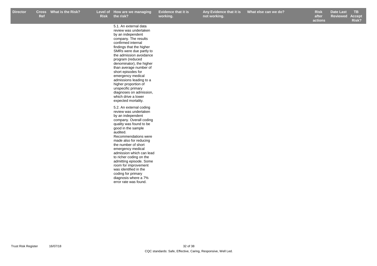5.1. An external data

**Evidence that it is working.**

**Any Evidence that it is not working.**

r Cross What is the Risk? Level of How are we managing Evidence that it is Any Evidence that it is What else can we do? Risk Date Last TB **Risk after What else can we do? Box Black Elect Elect Property Risk Date Last** 

**actions ReviewedAccept Risk?**

review was undertaken by an independent company. The results confirmed internal findings that the higher SMRs were due partly to the admission avoidance program (reduced denominator), the higher than average number of short episodes for emergency medical admissions leading to a higher proportion of unspecific primary diagnoses on admission, which drive a lower expected mortality. 5.2. An external coding review was undertaken by an independent company. Overall coding quality was found to be good in the sample audited. Recommendations were made also for reducing the number of short emergency medical admission which can lead to richer coding on the admitting episode. Some room for improvement was identified in the coding for primary diagnosis where a 7% error rate was found.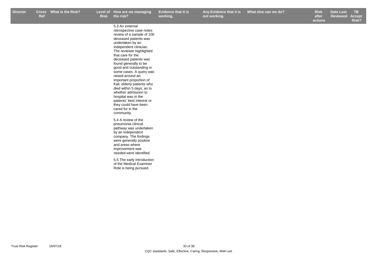**Any Evidence that it is not working.**

**Risk after What else can we do? Box Black Elect Elect Property Risk Date Last** 

**actions Reviewed Accept Risk?**

5.3 An external retrospective case notes review of a sample of 100 deceased patients was undertaken by an independent clinician. The reviewer highlighted that care for the deceased patients was found generally to be good and outstanding in some cases. A query was raised around an important proportion of frail, elderly patients who died within 5 days, as to whether admission to hospital was in the patients' best interest or they could have been cared for in the community. 5.4 A review of the

pneumonia clinical pathway was undertaken by an independent company. The findings were generally positive and areas where improvement was needed were identified.

5.5 The early introduction of the Medical Examiner Role is being pursued.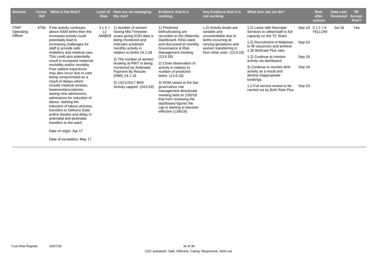| <b>Director</b>               | <b>Cross</b><br><b>Ref</b> | What is the Risk?                                                                                                                                                                                                                                                                                                                                                                                                                                                                                                                                                                                                                                                                                                                                           | Level of<br><b>Risk</b> | How are we managing<br>the risk?                                                                                                                                                                                                                                                                                                                           | <b>Evidence that it is</b><br>working.                                                                                                                                                                                                                                                                                                                                                                                                                                                    | Any Evidence that it is<br>not working.                                                                                                                                   | What else can we do?                                                                                                                                                                                                                                                                                                                                                                                              |                                      | <b>Risk</b><br>after<br>actions | <b>Date Last</b><br><b>Reviewed</b> | TB<br><b>Accept</b><br>Risk? |
|-------------------------------|----------------------------|-------------------------------------------------------------------------------------------------------------------------------------------------------------------------------------------------------------------------------------------------------------------------------------------------------------------------------------------------------------------------------------------------------------------------------------------------------------------------------------------------------------------------------------------------------------------------------------------------------------------------------------------------------------------------------------------------------------------------------------------------------------|-------------------------|------------------------------------------------------------------------------------------------------------------------------------------------------------------------------------------------------------------------------------------------------------------------------------------------------------------------------------------------------------|-------------------------------------------------------------------------------------------------------------------------------------------------------------------------------------------------------------------------------------------------------------------------------------------------------------------------------------------------------------------------------------------------------------------------------------------------------------------------------------------|---------------------------------------------------------------------------------------------------------------------------------------------------------------------------|-------------------------------------------------------------------------------------------------------------------------------------------------------------------------------------------------------------------------------------------------------------------------------------------------------------------------------------------------------------------------------------------------------------------|--------------------------------------|---------------------------------|-------------------------------------|------------------------------|
| Chief<br>Operating<br>Officer | 4756                       | If the activity continues<br>above 5000 births then the<br>increased activity could<br>potentially lead to<br>increasing challenges for<br>staff to provide safe<br>midwifery and medical care.<br>This could also potentially<br>result in increased maternal<br>morbidity and/or mortality.<br>Poor patient experience<br>may also occur due to care<br>being compromised as a<br>result of delays which<br>include medical reviews.<br>treatment/procedures,<br>seeing new admissions,<br>admissions for induction of<br>labour, starting the<br>induction of labour process,<br>transfers to Delivery Suite<br>and/or theatre and delay in<br>antenatal and postnatal<br>transfers to the ward.<br>Date of origin: Apr 17<br>Date of escalation: May 17 | $3x4=$<br>12<br>AMBER   | 1) Number of women<br>having Mid Trimester<br>scans giving EDD data is<br>being monitored and<br>indicates predicted<br>monthly activity in<br>relation to births 24.1.18<br>2) The number of women<br>booking at RWT is being<br>monitored by Antenatal<br><b>Payment By Results</b><br>(PBR) 24.1.18<br>3) 13/11/2017 Birth<br>Activity capped (24/1/18) | 1) Predicted<br>births/booking are<br>recorded on the Maternity<br>Dashboard, RAG-rated<br>and discussed at monthly<br>Governance & Risk<br>Management meeting<br>(13.6.18)<br>2) Close observation of<br>activity in relation to<br>number of predicted<br>births (13.6.18)<br>3) HOM raised at the last<br>governance risk<br>management directorate<br>meeting held on 23/5/18<br>that from reviewing the<br>dashboard figures the<br>cap is starting to become<br>effective (13/6/18) | 1,2) Activity levels are<br>variable and<br>uncontrollable due to<br>births occurring at<br>varying gestations and<br>women transferring in<br>from other units (13.6.18) | 1.2) Liaise with Neonatal<br>Services to utilise/staff to full<br>capacity on the TC Ward<br>1,2) Recruitment of Midwives<br>to fill vacancies and achieve<br>1:30 Birthrate Plus ratio<br>1,2) Continue to monitor<br>activity via dashboard<br>3) Continue to monitor birth<br>activity as a result and<br>decline inappropriate<br>bookings<br>1.2 Full service review to be<br>carried out by Birth Rate Plus | Sep-18<br>Sep-18<br>Sep-18<br>Sep-18 | Sep-18 $3x2=6$<br><b>YELLOW</b> | <b>Jul-18</b>                       | Yes                          |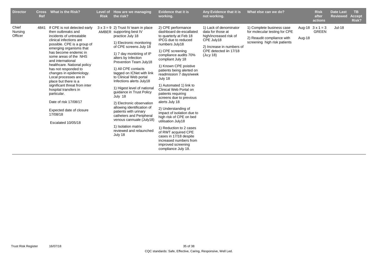| <b>Director</b>             | <b>Cross</b><br>Ref | <b>What is the Risk?</b>                                                                                                                                                                                                                                                                                                                                                                                                                                                                                                                        | <b>Level of</b><br><b>Risk</b> | How are we managing<br>the risk?                                                                                                                                                                                                                                                                                                                                                                                                                                                                                                                                                                                        | <b>Evidence that it is</b><br>working.                                                                                                                                                                                                                                                                                                                                                                                                                                                                                                                                                                                                                          | Any Evidence that it is<br>not working.                                                                                                                  | What else can we do?                                                                                                     |        | <b>Risk</b><br>after<br>actions         | <b>Date Last</b><br><b>Reviewed</b> | TB.<br><b>Accept</b><br>Risk? |
|-----------------------------|---------------------|-------------------------------------------------------------------------------------------------------------------------------------------------------------------------------------------------------------------------------------------------------------------------------------------------------------------------------------------------------------------------------------------------------------------------------------------------------------------------------------------------------------------------------------------------|--------------------------------|-------------------------------------------------------------------------------------------------------------------------------------------------------------------------------------------------------------------------------------------------------------------------------------------------------------------------------------------------------------------------------------------------------------------------------------------------------------------------------------------------------------------------------------------------------------------------------------------------------------------------|-----------------------------------------------------------------------------------------------------------------------------------------------------------------------------------------------------------------------------------------------------------------------------------------------------------------------------------------------------------------------------------------------------------------------------------------------------------------------------------------------------------------------------------------------------------------------------------------------------------------------------------------------------------------|----------------------------------------------------------------------------------------------------------------------------------------------------------|--------------------------------------------------------------------------------------------------------------------------|--------|-----------------------------------------|-------------------------------------|-------------------------------|
| Chief<br>Nursing<br>Officer | 4841                | If CPE is not detected early<br>then outbreaks and<br>incidents of untreatable<br>clinical infections are<br>possible. CPE is a group of<br>emerging organisms that<br>has become endemic in<br>some areas of the NHS<br>and international<br>healthcare. National policy<br>has not responded to<br>changes in epidemiology.<br>Local processes are in<br>place but there is a<br>significant threat from inter<br>hospital transfers in<br>particular.<br>Date of risk 17/08/17<br>Expected date of closure<br>17/08/18<br>Escalated 10/05/18 |                                | $3 \times 3 = 9$ 2) Trust IV team in place<br>AMBER supporting best IV<br>practice July 18<br>1) Electronic monitoring<br>of CPE screens July 18<br>1) 7 day montiriing of IP<br>alters by Infection<br>Prevention Team July18<br>1) All CPE contacts<br>tagged on ICNet with link<br>to Clinical Web portal<br>Infections alerts July18<br>1) Higest level of national<br>guidance in Trust Policy<br>July 18<br>2) Electronic observation<br>allowing identification of<br>patients with urinary<br>catheters and Peripheral<br>venous cannuale (July18)<br>1) Isolation matrix<br>reviewed and relaunched<br>July 18 | 2) CPE performance<br>dashboard de-escallated<br>to quarterly at Feb 18<br>IPCG due to reduced<br>numbers July18<br>1) CPE screening<br>compliance audits 70%<br>compliant July 18<br>1) Known CPE poistive<br>patients being alerted on<br>readmission 7 days/week<br>July 18<br>1) Automated 1) link to<br>Clinical Web Portal on<br>patients requiring<br>screens due to previous<br>alerts July 18<br>2) Understanding of<br>impact of isolation due to<br>high risk of CPE on bed<br>utilisation July18<br>1) Reduction to 2 cases<br>of RWT acquired CPE<br>cases in 17/18 despite<br>increased numbers from<br>improved screening<br>compliance July 18. | 1) Lack of denominator<br>data for those at<br>high/increased risk of<br>CPE July18<br>2) Increase in numbers of<br>CPE detected iin 17/18<br>(Ju, y 18) | 1) Complete business case<br>for molecular testing for CPE<br>2) Reaudit compliance with<br>screening high risk patients | Aug-18 | Aug-18 $3 \times 1 = 3$<br><b>GREEN</b> | <b>Jul-18</b>                       |                               |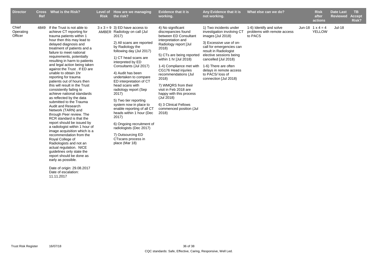| <b>Director</b>               | <b>Cross</b><br>Ref | What is the Risk?                                                                                                                                                                                                                                                                                                                                                                                                                                                                                                                                                                                                                                                                                                                                                                                                                                                                                                                                                                                                                  | Level of<br><b>Risk</b> | How are we managing<br>the risk?                                                                                                                                                                                                                                                                                                                                                                                                                                                                                                                                                                               | <b>Evidence that it is</b><br>working.                                                                                                                                                                                                                                                                                                                                                                                     | Any Evidence that it is<br>not working.                                                                                                                                                                                                                                                                     | What else can we do?                                              | <b>Risk</b><br>after<br>actions          | <b>Date Last</b><br><b>Reviewed</b> | TB.<br><b>Accept</b><br>Risk? |
|-------------------------------|---------------------|------------------------------------------------------------------------------------------------------------------------------------------------------------------------------------------------------------------------------------------------------------------------------------------------------------------------------------------------------------------------------------------------------------------------------------------------------------------------------------------------------------------------------------------------------------------------------------------------------------------------------------------------------------------------------------------------------------------------------------------------------------------------------------------------------------------------------------------------------------------------------------------------------------------------------------------------------------------------------------------------------------------------------------|-------------------------|----------------------------------------------------------------------------------------------------------------------------------------------------------------------------------------------------------------------------------------------------------------------------------------------------------------------------------------------------------------------------------------------------------------------------------------------------------------------------------------------------------------------------------------------------------------------------------------------------------------|----------------------------------------------------------------------------------------------------------------------------------------------------------------------------------------------------------------------------------------------------------------------------------------------------------------------------------------------------------------------------------------------------------------------------|-------------------------------------------------------------------------------------------------------------------------------------------------------------------------------------------------------------------------------------------------------------------------------------------------------------|-------------------------------------------------------------------|------------------------------------------|-------------------------------------|-------------------------------|
| Chief<br>Operating<br>Officer |                     | 4849 If the Trust is not able to<br>achieve CT reporting for<br>trauma patients within 1<br>hour then this may lead to<br>delayed diagnosis and<br>treatment of patients and a<br>failure to meet national<br>requirements, potentially<br>resulting in harm to patients<br>and legal action being taken<br>against the Trust. If ED are<br>unable to obtain 1hr<br>reporting for trauma<br>patients out of hours then<br>this will result in the Trust<br>consistently failing to<br>achieve national standards<br>as reflected by the data<br>submitted to the Trauma<br>Audit and Research<br>Network (TARN) and<br>through Peer review. The<br>RCR standard is that the<br>report should be issued by<br>a radiologist within 1 hour of<br>image acquisition which is a<br>recommendation from the<br>Royal College of<br>Radiologists and not an<br>actual regulation. NICE<br>guidelines only state the<br>report should be done as<br>early as possible.<br>Date of origin: 29.08.2017<br>Date of escalation:<br>11.11.2017 |                         | $3 \times 3 = 9$ 3) ED have access to<br>AMBER Radiology on call (Jul<br>$2017$ )<br>2) All scans are reported<br>by Radiology the<br>following day (Jul 2017)<br>1) CT head scans are<br>interpreted by ED<br>Consultants (Jul 2017)<br>4) Audit has been<br>undertaken to compare<br>ED interpretation of CT<br>head scans with<br>radiology report (Sep<br>2017)<br>5) Two tier reporting<br>system now in place to<br>enable reporting of all CT<br>heads within 1 hour (Dec<br>2017)<br>6) Ongoing recruitment of<br>radiologists (Dec 2017)<br>7) Outsourcing ED<br>CTscans process in<br>place (Mar 18) | 4) No significant<br>discrepancies found<br>between ED Consultant<br>interpretation and<br>Radiology report [Jul<br>2018)<br>5) CTs are being reported<br>within 1 hr [Jul 2018)<br>1-4) Compliance met with<br>CG176 Head injuries<br>recommendations (Jul<br>2018)<br>7) WMQRS from their<br>visit in Feb 2018 are<br>happy with this process<br>(Jul 2018)<br>6) 3 Clinical Fellows<br>commenced position (Jul<br>2018) | 1) Two incidents under<br>investigation involving CT<br>images [Jul 2018)<br>3) Excessive use of on-<br>call for emergencies can<br>result in Radiologist<br>elective sessions being<br>cancelled [Jul 2018)<br>1-6) There are often<br>delays in remote access<br>to PACS/loss of<br>connection [Jul 2018) | 1-6) Identify and solve<br>problems with remote access<br>to PACS | Jun-18 $1 \times 4 = 4$<br><b>YELLOW</b> | Jul-18                              |                               |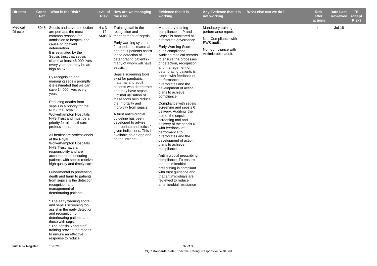| <b>Director</b>     | Ref | Cross What is the Risk?                                                                                                                                                                                                                                                                                                                                                                                                                                                                                                                                                                                                                                                                                                                                                                                                                                                                                                                                                                                                                                                                                                                                                                                                                                              | <b>Level of</b><br><b>Risk</b> | How are we managing<br>the risk?                                                                                                                                                                                                                                                                                                                                                                                                                                                                                                                                                                                                                                                    | <b>Evidence that it is</b><br>working.                                                                                                                                                                                                                                                                                                                                                                                                                                                                                                                                                                                                                                                                                                                                                                                                                                                                                | Any Evidence that it is<br>not working.                                                                                       | What else can we do? | <b>Risk</b><br>after<br>actions | Date Last<br>Reviewed | TB.<br><b>Accept</b><br>Risk? |
|---------------------|-----|----------------------------------------------------------------------------------------------------------------------------------------------------------------------------------------------------------------------------------------------------------------------------------------------------------------------------------------------------------------------------------------------------------------------------------------------------------------------------------------------------------------------------------------------------------------------------------------------------------------------------------------------------------------------------------------------------------------------------------------------------------------------------------------------------------------------------------------------------------------------------------------------------------------------------------------------------------------------------------------------------------------------------------------------------------------------------------------------------------------------------------------------------------------------------------------------------------------------------------------------------------------------|--------------------------------|-------------------------------------------------------------------------------------------------------------------------------------------------------------------------------------------------------------------------------------------------------------------------------------------------------------------------------------------------------------------------------------------------------------------------------------------------------------------------------------------------------------------------------------------------------------------------------------------------------------------------------------------------------------------------------------|-----------------------------------------------------------------------------------------------------------------------------------------------------------------------------------------------------------------------------------------------------------------------------------------------------------------------------------------------------------------------------------------------------------------------------------------------------------------------------------------------------------------------------------------------------------------------------------------------------------------------------------------------------------------------------------------------------------------------------------------------------------------------------------------------------------------------------------------------------------------------------------------------------------------------|-------------------------------------------------------------------------------------------------------------------------------|----------------------|---------------------------------|-----------------------|-------------------------------|
| Medical<br>Director |     | 5045 Sepsis and severe infection<br>are perhaps the most<br>common reasons for<br>admission to hospital and<br>cause of inpatient<br>deterioration.<br>It is estimated by the<br>Sepsis trust that sepsis<br>claims at least 46,000 lives<br>every year and may be as<br>high as 67,000.<br>By recognising and<br>managing sepsis promptly,<br>it is estimated that we can<br>save 14,000 lives every<br>year.<br>Reducing deaths from<br>sepsis is a priority for the<br>NHS, the Royal<br>Wolverhampton Hospitals<br>NHS Trust and must be a<br>priority for all healthcare<br>professionals.<br>All healthcare professionals<br>at the Royal<br><b>Wolverhampton Hospitals</b><br>NHS Trust have a<br>responsibility and are<br>accountable to ensuring<br>patients with sepsis receive<br>high quality and timely care.<br>Fundamental to preventing<br>death and harm to patients<br>from sepsis is the detection,<br>recognition and<br>management of<br>deteriorating patients:<br>* The early warning score<br>and sepsis screening tool<br>assist in the early detection<br>and recognition of<br>deteriorating patients and<br>those with sepsis<br>* The sepsis 6 and staff<br>training provide the means<br>to ensure an effective<br>response to reduce | 12                             | $4 \times 3 =$ Training staff in the<br>recognition and<br>AMBER management of sepsis.<br>Early warning systems<br>for paediatric, maternal<br>and adult patients assist<br>in the detection of<br>deteriorating patients -<br>many of whom will have<br>sepsis.<br>Sepsis screening tools<br>exist for paediatric,<br>maternal and adult<br>patients who deteriorate<br>and may have sepsis.<br>Optimal utilisation of<br>these tools help reduce<br>the mortality and<br>morbidity from sepsis.<br>A trust antimicrobial<br>guideline has been<br>developed to advise<br>appropriate antibiotics for<br>given indications. This is<br>available as an app and<br>on the intranet. | Mandatory training<br>compliance in IP and<br>Sepsis is monitored at<br>directorate governance<br><b>Early Warning Score</b><br>audit compliance.<br>Auditing medical records<br>to ensure the processes<br>of detection, recognition<br>and management of<br>deteriorating patients is<br>robust with feedback of<br>performance to<br>directorates and the<br>development of action<br>plans to achieve<br>compliance<br>Compliance with sepsis<br>screening and sepsis 6<br>delivery. Auditing the<br>use of the sepsis<br>screening tool and<br>delivery of the sepsis 6<br>with feedback of<br>performance to<br>directorates and the<br>development of action<br>plans to achieve<br>compliance<br>Antimicrobial prescribing<br>compliance. To ensure<br>that antimicrobial<br>prescribing is compliant<br>with trust guidance and<br>that antimicrobials are<br>reviewed to reduce<br>antimicrobial resistance | Mandatory training<br>performance report.<br>Non-Compliance with<br>EWS audit.<br>Non-compliance with<br>Antimicrobial audit. |                      | $x =$                           | <b>Jul-18</b>         |                               |